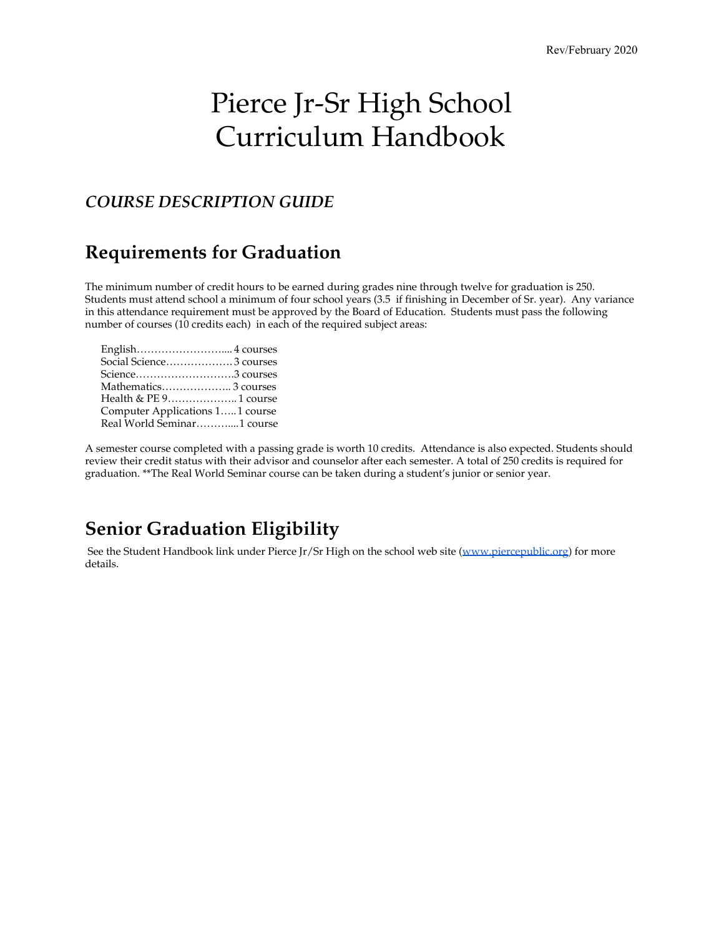# Pierce Jr-Sr High School Curriculum Handbook

### *COURSE DESCRIPTION GUIDE*

### **Requirements for Graduation**

The minimum number of credit hours to be earned during grades nine through twelve for graduation is 250. Students must attend school a minimum of four school years (3.5 if finishing in December of Sr. year). Any variance in this attendance requirement must be approved by the Board of Education. Students must pass the following number of courses (10 credits each) in each of the required subject areas:

| Social Science 3 courses        |  |
|---------------------------------|--|
| Science3 courses                |  |
|                                 |  |
| Health & PE 9 1 course          |  |
| Computer Applications 11 course |  |
| Real World Seminar1 course      |  |

A semester course completed with a passing grade is worth 10 credits. Attendance is also expected. Students should review their credit status with their advisor and counselor after each semester. A total of 250 credits is required for graduation. \*\*The Real World Seminar course can be taken during a student's junior or senior year.

### **Senior Graduation Eligibility**

See the Student Handbook link under Pierce Jr/Sr High on the school web site ([www.piercepublic.org\)](http://www.piercepublic.org/) for more details.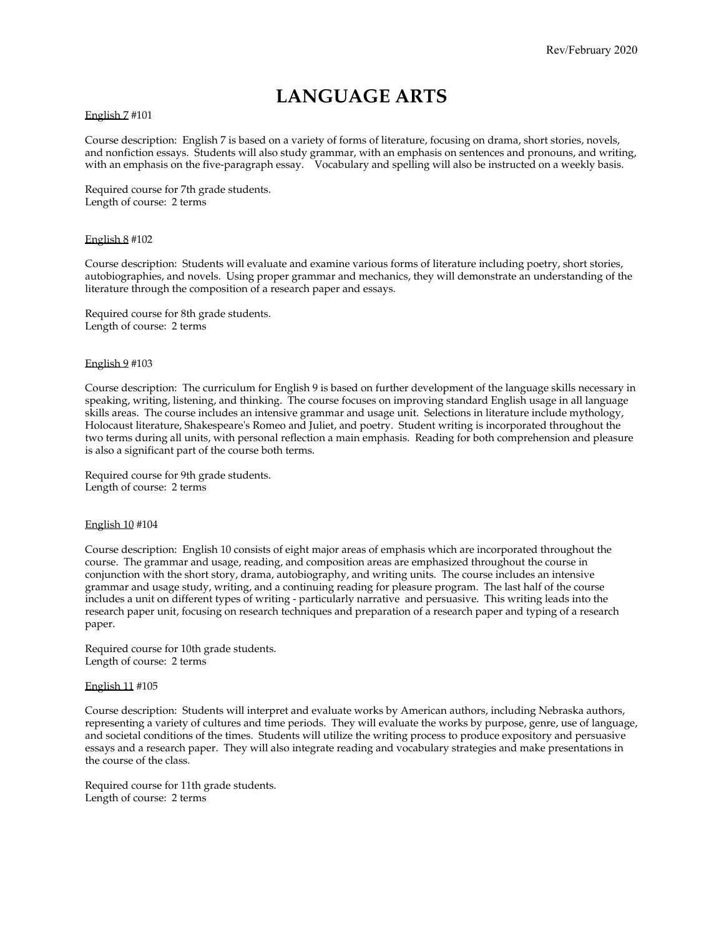### **LANGUAGE ARTS**

#### English 7 #101

Course description: English 7 is based on a variety of forms of literature, focusing on drama, short stories, novels, and nonfiction essays. Students will also study grammar, with an emphasis on sentences and pronouns, and writing, with an emphasis on the five-paragraph essay. Vocabulary and spelling will also be instructed on a weekly basis.

Required course for 7th grade students. Length of course: 2 terms

#### English 8 #102

Course description: Students will evaluate and examine various forms of literature including poetry, short stories, autobiographies, and novels. Using proper grammar and mechanics, they will demonstrate an understanding of the literature through the composition of a research paper and essays.

Required course for 8th grade students. Length of course: 2 terms

#### English 9 #103

Course description: The curriculum for English 9 is based on further development of the language skills necessary in speaking, writing, listening, and thinking. The course focuses on improving standard English usage in all language skills areas. The course includes an intensive grammar and usage unit. Selections in literature include mythology, Holocaust literature, Shakespeare's Romeo and Juliet, and poetry. Student writing is incorporated throughout the two terms during all units, with personal reflection a main emphasis. Reading for both comprehension and pleasure is also a significant part of the course both terms.

Required course for 9th grade students. Length of course: 2 terms

#### English 10 #104

Course description: English 10 consists of eight major areas of emphasis which are incorporated throughout the course. The grammar and usage, reading, and composition areas are emphasized throughout the course in conjunction with the short story, drama, autobiography, and writing units. The course includes an intensive grammar and usage study, writing, and a continuing reading for pleasure program. The last half of the course includes a unit on different types of writing - particularly narrative and persuasive. This writing leads into the research paper unit, focusing on research techniques and preparation of a research paper and typing of a research paper.

Required course for 10th grade students. Length of course: 2 terms

#### English 11 #105

Course description: Students will interpret and evaluate works by American authors, including Nebraska authors, representing a variety of cultures and time periods. They will evaluate the works by purpose, genre, use of language, and societal conditions of the times. Students will utilize the writing process to produce expository and persuasive essays and a research paper. They will also integrate reading and vocabulary strategies and make presentations in the course of the class.

Required course for 11th grade students. Length of course: 2 terms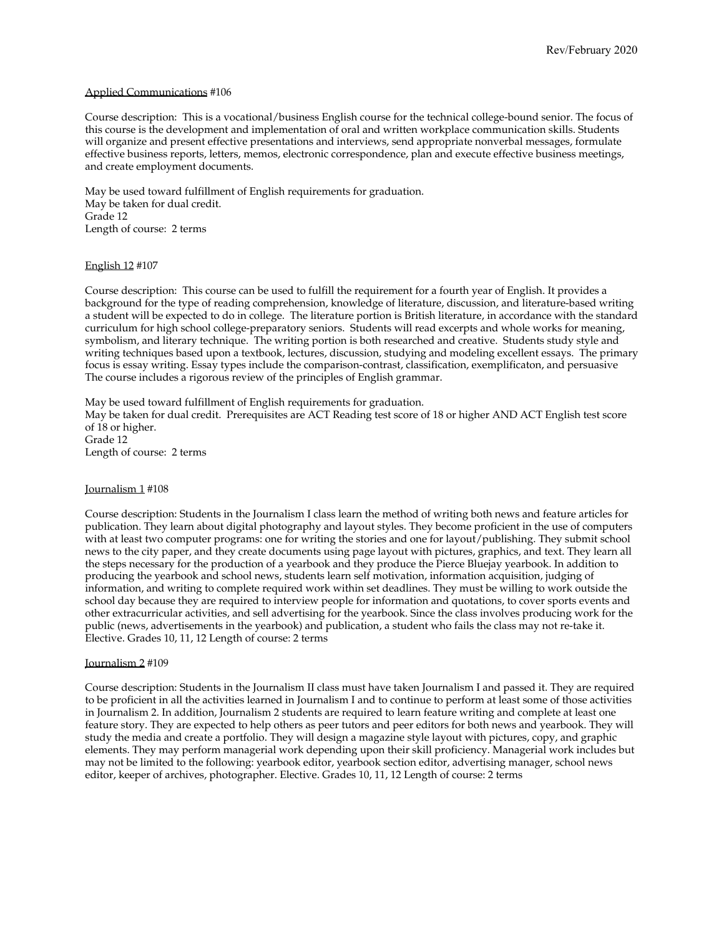#### Applied Communications #106

Course description: This is a vocational/business English course for the technical college-bound senior. The focus of this course is the development and implementation of oral and written workplace communication skills. Students will organize and present effective presentations and interviews, send appropriate nonverbal messages, formulate effective business reports, letters, memos, electronic correspondence, plan and execute effective business meetings, and create employment documents.

May be used toward fulfillment of English requirements for graduation. May be taken for dual credit. Grade 12 Length of course: 2 terms

#### English 12 #107

Course description: This course can be used to fulfill the requirement for a fourth year of English. It provides a background for the type of reading comprehension, knowledge of literature, discussion, and literature-based writing a student will be expected to do in college. The literature portion is British literature, in accordance with the standard curriculum for high school college-preparatory seniors. Students will read excerpts and whole works for meaning, symbolism, and literary technique. The writing portion is both researched and creative. Students study style and writing techniques based upon a textbook, lectures, discussion, studying and modeling excellent essays. The primary focus is essay writing. Essay types include the comparison-contrast, classification, exemplificaton, and persuasive The course includes a rigorous review of the principles of English grammar.

May be used toward fulfillment of English requirements for graduation. May be taken for dual credit. Prerequisites are ACT Reading test score of 18 or higher AND ACT English test score of 18 or higher. Grade 12 Length of course: 2 terms

#### Journalism 1 #108

Course description: Students in the Journalism I class learn the method of writing both news and feature articles for publication. They learn about digital photography and layout styles. They become proficient in the use of computers with at least two computer programs: one for writing the stories and one for layout/publishing. They submit school news to the city paper, and they create documents using page layout with pictures, graphics, and text. They learn all the steps necessary for the production of a yearbook and they produce the Pierce Bluejay yearbook. In addition to producing the yearbook and school news, students learn self motivation, information acquisition, judging of information, and writing to complete required work within set deadlines. They must be willing to work outside the school day because they are required to interview people for information and quotations, to cover sports events and other extracurricular activities, and sell advertising for the yearbook. Since the class involves producing work for the public (news, advertisements in the yearbook) and publication, a student who fails the class may not re-take it. Elective. Grades 10, 11, 12 Length of course: 2 terms

#### Journalism 2 #109

Course description: Students in the Journalism II class must have taken Journalism I and passed it. They are required to be proficient in all the activities learned in Journalism I and to continue to perform at least some of those activities in Journalism 2. In addition, Journalism 2 students are required to learn feature writing and complete at least one feature story. They are expected to help others as peer tutors and peer editors for both news and yearbook. They will study the media and create a portfolio. They will design a magazine style layout with pictures, copy, and graphic elements. They may perform managerial work depending upon their skill proficiency. Managerial work includes but may not be limited to the following: yearbook editor, yearbook section editor, advertising manager, school news editor, keeper of archives, photographer. Elective. Grades 10, 11, 12 Length of course: 2 terms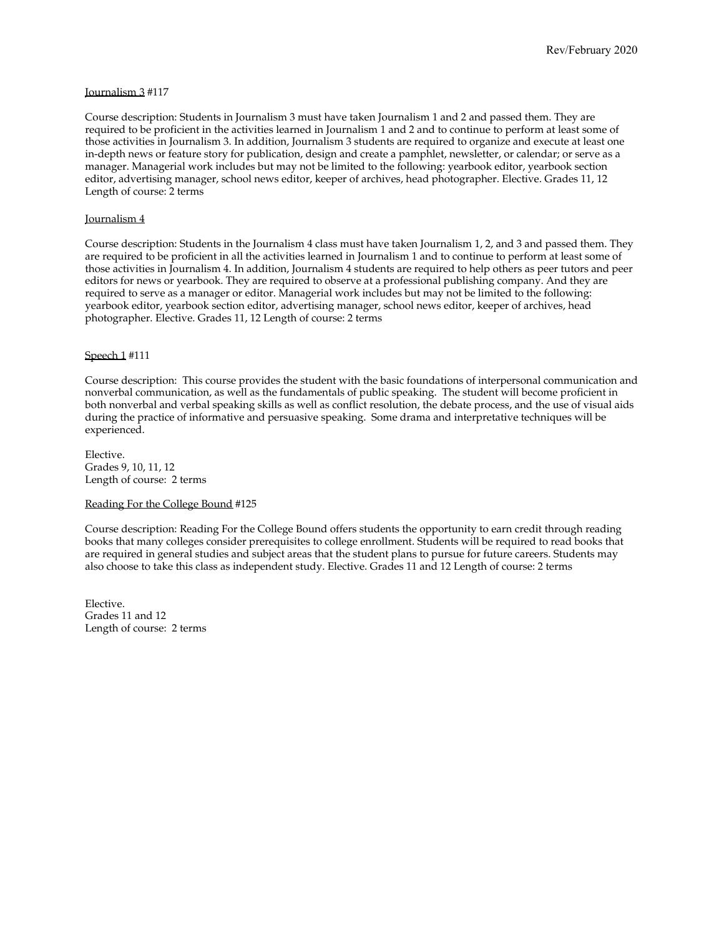#### Journalism 3 #117

Course description: Students in Journalism 3 must have taken Journalism 1 and 2 and passed them. They are required to be proficient in the activities learned in Journalism 1 and 2 and to continue to perform at least some of those activities in Journalism 3. In addition, Journalism 3 students are required to organize and execute at least one in-depth news or feature story for publication, design and create a pamphlet, newsletter, or calendar; or serve as a manager. Managerial work includes but may not be limited to the following: yearbook editor, yearbook section editor, advertising manager, school news editor, keeper of archives, head photographer. Elective. Grades 11, 12 Length of course: 2 terms

#### Journalism 4

Course description: Students in the Journalism 4 class must have taken Journalism 1, 2, and 3 and passed them. They are required to be proficient in all the activities learned in Journalism 1 and to continue to perform at least some of those activities in Journalism 4. In addition, Journalism 4 students are required to help others as peer tutors and peer editors for news or yearbook. They are required to observe at a professional publishing company. And they are required to serve as a manager or editor. Managerial work includes but may not be limited to the following: yearbook editor, yearbook section editor, advertising manager, school news editor, keeper of archives, head photographer. Elective. Grades 11, 12 Length of course: 2 terms

#### Speech 1 #111

Course description: This course provides the student with the basic foundations of interpersonal communication and nonverbal communication, as well as the fundamentals of public speaking. The student will become proficient in both nonverbal and verbal speaking skills as well as conflict resolution, the debate process, and the use of visual aids during the practice of informative and persuasive speaking. Some drama and interpretative techniques will be experienced.

Elective. Grades 9, 10, 11, 12 Length of course: 2 terms

#### Reading For the College Bound #125

Course description: Reading For the College Bound offers students the opportunity to earn credit through reading books that many colleges consider prerequisites to college enrollment. Students will be required to read books that are required in general studies and subject areas that the student plans to pursue for future careers. Students may also choose to take this class as independent study. Elective. Grades 11 and 12 Length of course: 2 terms

Elective. Grades 11 and 12 Length of course: 2 terms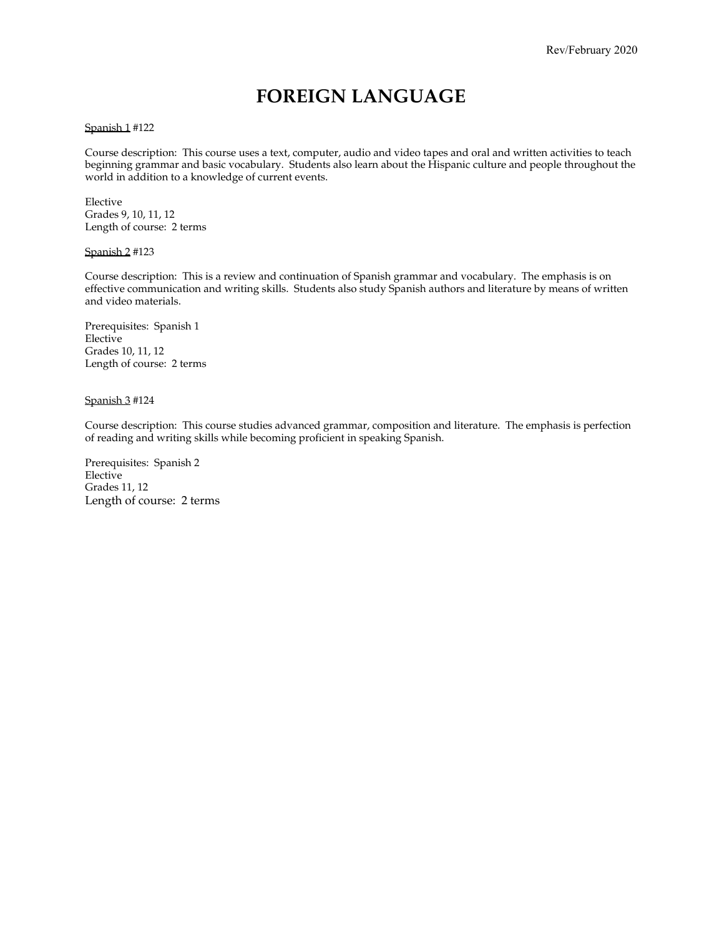### **FOREIGN LANGUAGE**

#### Spanish 1 #122

Course description: This course uses a text, computer, audio and video tapes and oral and written activities to teach beginning grammar and basic vocabulary. Students also learn about the Hispanic culture and people throughout the world in addition to a knowledge of current events.

Elective Grades 9, 10, 11, 12 Length of course: 2 terms

#### Spanish 2 #123

Course description: This is a review and continuation of Spanish grammar and vocabulary. The emphasis is on effective communication and writing skills. Students also study Spanish authors and literature by means of written and video materials.

Prerequisites: Spanish 1 Elective Grades 10, 11, 12 Length of course: 2 terms

#### Spanish 3 #124

Course description: This course studies advanced grammar, composition and literature. The emphasis is perfection of reading and writing skills while becoming proficient in speaking Spanish.

Prerequisites: Spanish 2 Elective Grades 11, 12 Length of course: 2 terms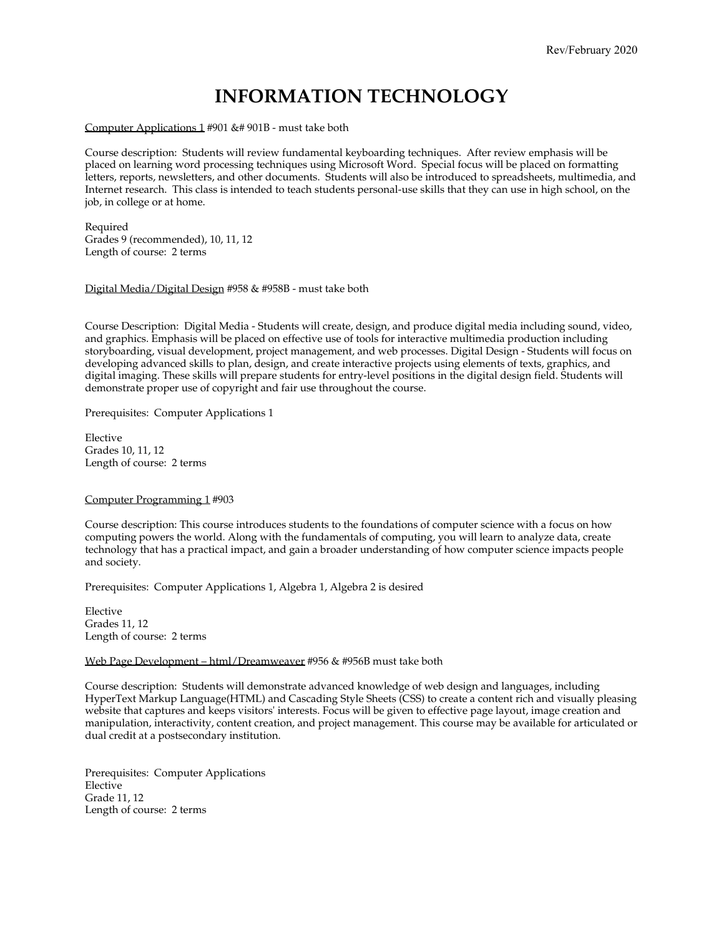### **INFORMATION TECHNOLOGY**

#### Computer Applications 1 #901 &# 901B - must take both

Course description: Students will review fundamental keyboarding techniques. After review emphasis will be placed on learning word processing techniques using Microsoft Word. Special focus will be placed on formatting letters, reports, newsletters, and other documents. Students will also be introduced to spreadsheets, multimedia, and Internet research. This class is intended to teach students personal-use skills that they can use in high school, on the job, in college or at home.

Required Grades 9 (recommended), 10, 11, 12 Length of course: 2 terms

Digital Media/Digital Design #958 & #958B - must take both

Course Description: Digital Media - Students will create, design, and produce digital media including sound, video, and graphics. Emphasis will be placed on effective use of tools for interactive multimedia production including storyboarding, visual development, project management, and web processes. Digital Design - Students will focus on developing advanced skills to plan, design, and create interactive projects using elements of texts, graphics, and digital imaging. These skills will prepare students for entry-level positions in the digital design field. Students will demonstrate proper use of copyright and fair use throughout the course.

Prerequisites: Computer Applications 1

Elective Grades 10, 11, 12 Length of course: 2 terms

#### Computer Programming 1 #903

Course description: This course introduces students to the foundations of computer science with a focus on how computing powers the world. Along with the fundamentals of computing, you will learn to analyze data, create technology that has a practical impact, and gain a broader understanding of how computer science impacts people and society.

Prerequisites: Computer Applications 1, Algebra 1, Algebra 2 is desired

Elective Grades 11, 12 Length of course: 2 terms

#### Web Page Development – html/Dreamweaver #956 & #956B must take both

Course description: Students will demonstrate advanced knowledge of web design and languages, including HyperText Markup Language(HTML) and Cascading Style Sheets (CSS) to create a content rich and visually pleasing website that captures and keeps visitors' interests. Focus will be given to effective page layout, image creation and manipulation, interactivity, content creation, and project management. This course may be available for articulated or dual credit at a postsecondary institution.

Prerequisites: Computer Applications Elective Grade 11, 12 Length of course: 2 terms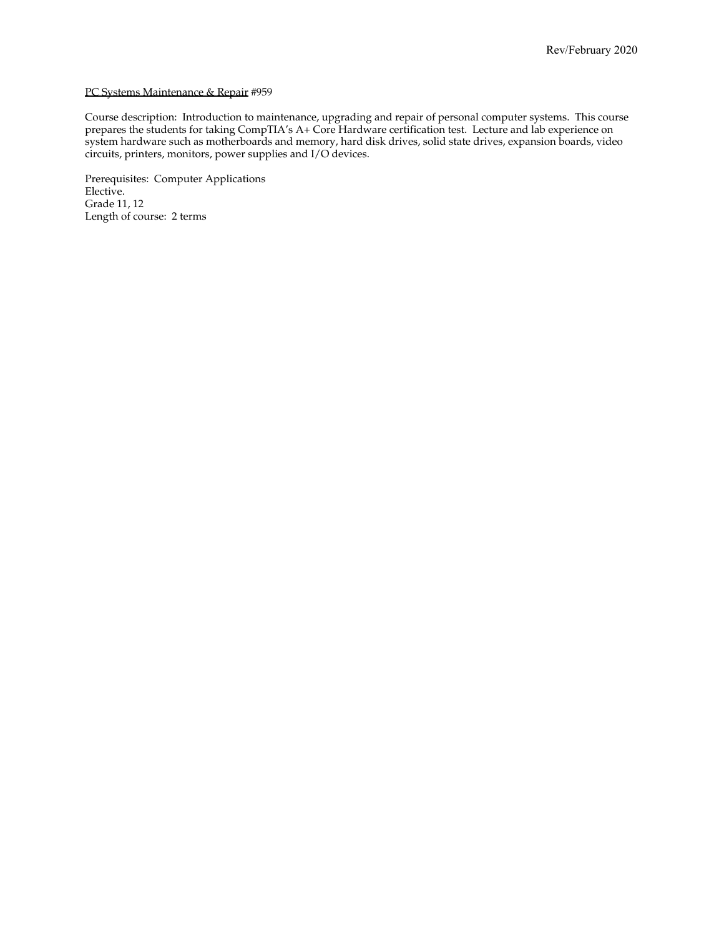#### PC Systems Maintenance & Repair #959

Course description: Introduction to maintenance, upgrading and repair of personal computer systems. This course prepares the students for taking CompTIA's A+ Core Hardware certification test. Lecture and lab experience on system hardware such as motherboards and memory, hard disk drives, solid state drives, expansion boards, video circuits, printers, monitors, power supplies and I/O devices.

Prerequisites: Computer Applications Elective. Grade 11, 12 Length of course: 2 terms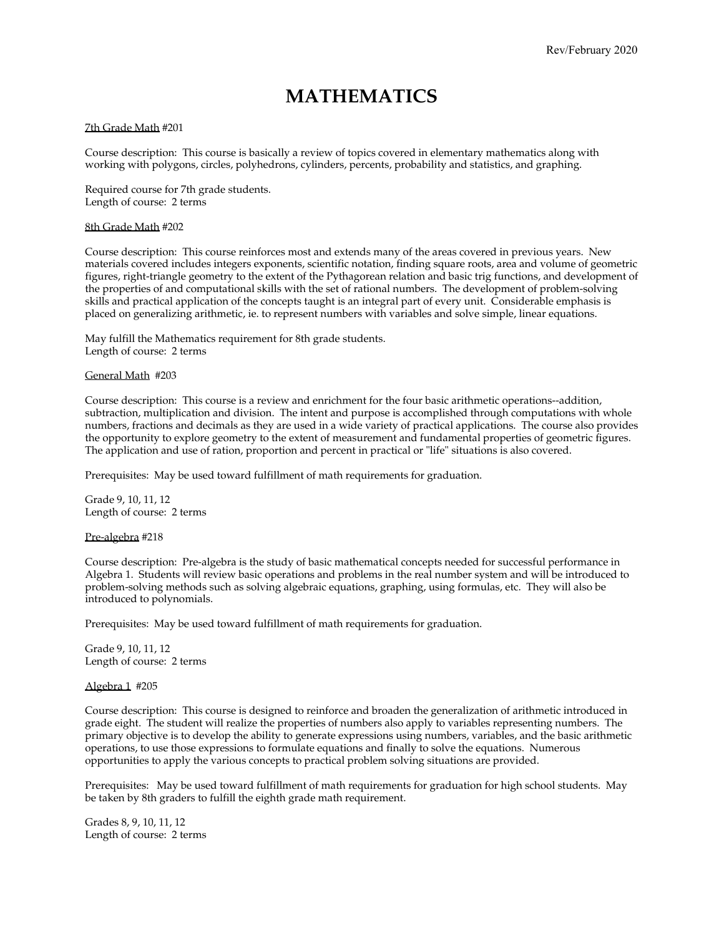### **MATHEMATICS**

#### 7th Grade Math #201

Course description: This course is basically a review of topics covered in elementary mathematics along with working with polygons, circles, polyhedrons, cylinders, percents, probability and statistics, and graphing.

Required course for 7th grade students. Length of course: 2 terms

#### 8th Grade Math #202

Course description: This course reinforces most and extends many of the areas covered in previous years. New materials covered includes integers exponents, scientific notation, finding square roots, area and volume of geometric figures, right-triangle geometry to the extent of the Pythagorean relation and basic trig functions, and development of the properties of and computational skills with the set of rational numbers. The development of problem-solving skills and practical application of the concepts taught is an integral part of every unit. Considerable emphasis is placed on generalizing arithmetic, ie. to represent numbers with variables and solve simple, linear equations.

May fulfill the Mathematics requirement for 8th grade students. Length of course: 2 terms

#### General Math #203

Course description: This course is a review and enrichment for the four basic arithmetic operations--addition, subtraction, multiplication and division. The intent and purpose is accomplished through computations with whole numbers, fractions and decimals as they are used in a wide variety of practical applications. The course also provides the opportunity to explore geometry to the extent of measurement and fundamental properties of geometric figures. The application and use of ration, proportion and percent in practical or "life" situations is also covered.

Prerequisites: May be used toward fulfillment of math requirements for graduation.

Grade 9, 10, 11, 12 Length of course: 2 terms

#### Pre-algebra #218

Course description: Pre-algebra is the study of basic mathematical concepts needed for successful performance in Algebra 1. Students will review basic operations and problems in the real number system and will be introduced to problem-solving methods such as solving algebraic equations, graphing, using formulas, etc. They will also be introduced to polynomials.

Prerequisites: May be used toward fulfillment of math requirements for graduation.

Grade 9, 10, 11, 12 Length of course: 2 terms

#### Algebra 1 #205

Course description: This course is designed to reinforce and broaden the generalization of arithmetic introduced in grade eight. The student will realize the properties of numbers also apply to variables representing numbers. The primary objective is to develop the ability to generate expressions using numbers, variables, and the basic arithmetic operations, to use those expressions to formulate equations and finally to solve the equations. Numerous opportunities to apply the various concepts to practical problem solving situations are provided.

Prerequisites: May be used toward fulfillment of math requirements for graduation for high school students. May be taken by 8th graders to fulfill the eighth grade math requirement.

Grades 8, 9, 10, 11, 12 Length of course: 2 terms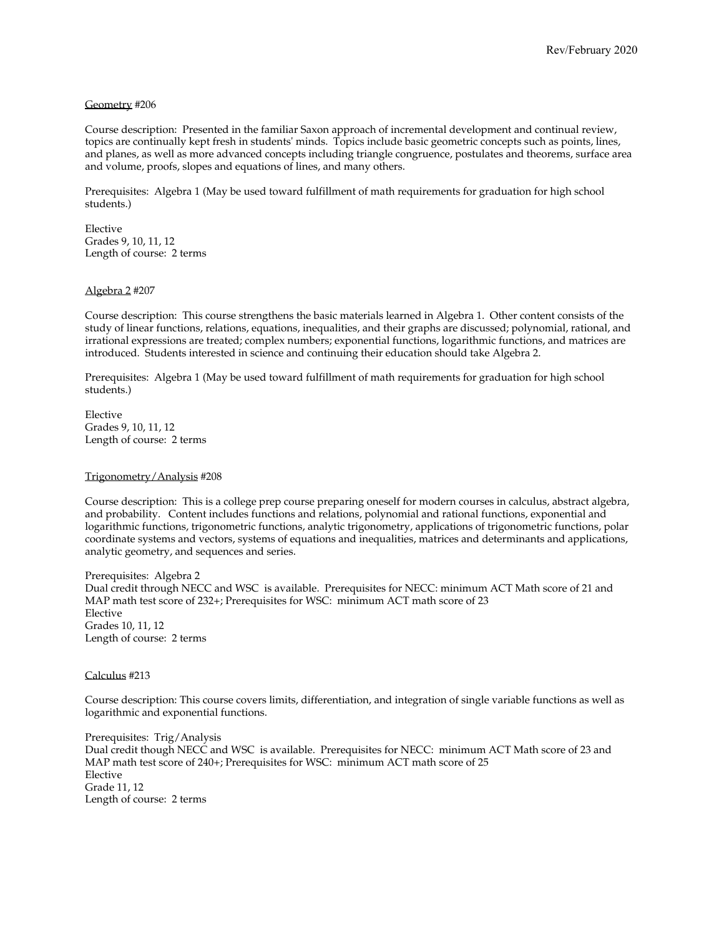#### Geometry #206

Course description: Presented in the familiar Saxon approach of incremental development and continual review, topics are continually kept fresh in students' minds. Topics include basic geometric concepts such as points, lines, and planes, as well as more advanced concepts including triangle congruence, postulates and theorems, surface area and volume, proofs, slopes and equations of lines, and many others.

Prerequisites: Algebra 1 (May be used toward fulfillment of math requirements for graduation for high school students.)

Elective Grades 9, 10, 11, 12 Length of course: 2 terms

#### Algebra 2 #207

Course description: This course strengthens the basic materials learned in Algebra 1. Other content consists of the study of linear functions, relations, equations, inequalities, and their graphs are discussed; polynomial, rational, and irrational expressions are treated; complex numbers; exponential functions, logarithmic functions, and matrices are introduced. Students interested in science and continuing their education should take Algebra 2.

Prerequisites: Algebra 1 (May be used toward fulfillment of math requirements for graduation for high school students.)

Elective Grades 9, 10, 11, 12 Length of course: 2 terms

#### Trigonometry/Analysis #208

Course description: This is a college prep course preparing oneself for modern courses in calculus, abstract algebra, and probability. Content includes functions and relations, polynomial and rational functions, exponential and logarithmic functions, trigonometric functions, analytic trigonometry, applications of trigonometric functions, polar coordinate systems and vectors, systems of equations and inequalities, matrices and determinants and applications, analytic geometry, and sequences and series.

Prerequisites: Algebra 2 Dual credit through NECC and WSC is available. Prerequisites for NECC: minimum ACT Math score of 21 and MAP math test score of 232+; Prerequisites for WSC: minimum ACT math score of 23 Elective Grades 10, 11, 12 Length of course: 2 terms

#### Calculus #213

Course description: This course covers limits, differentiation, and integration of single variable functions as well as logarithmic and exponential functions.

Prerequisites: Trig/Analysis Dual credit though NECC and WSC is available. Prerequisites for NECC: minimum ACT Math score of 23 and MAP math test score of 240+; Prerequisites for WSC: minimum ACT math score of 25 Elective Grade 11, 12 Length of course: 2 terms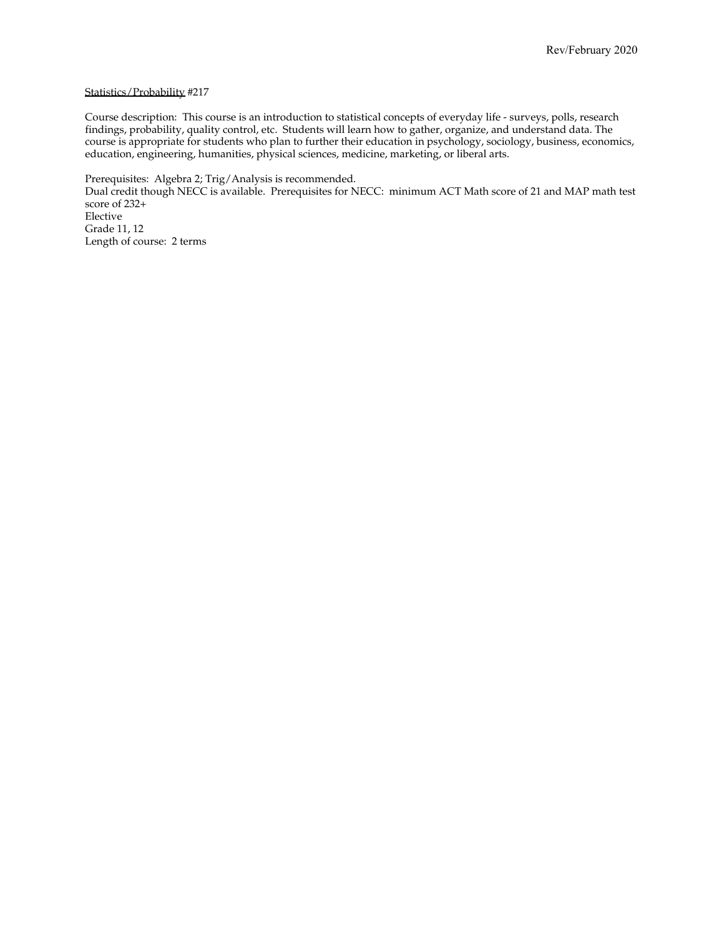#### Statistics/Probability #217

Course description: This course is an introduction to statistical concepts of everyday life - surveys, polls, research findings, probability, quality control, etc. Students will learn how to gather, organize, and understand data. The course is appropriate for students who plan to further their education in psychology, sociology, business, economics, education, engineering, humanities, physical sciences, medicine, marketing, or liberal arts.

Prerequisites: Algebra 2; Trig/Analysis is recommended. Dual credit though NECC is available. Prerequisites for NECC: minimum ACT Math score of 21 and MAP math test score of 232+ Elective Grade 11, 12 Length of course: 2 terms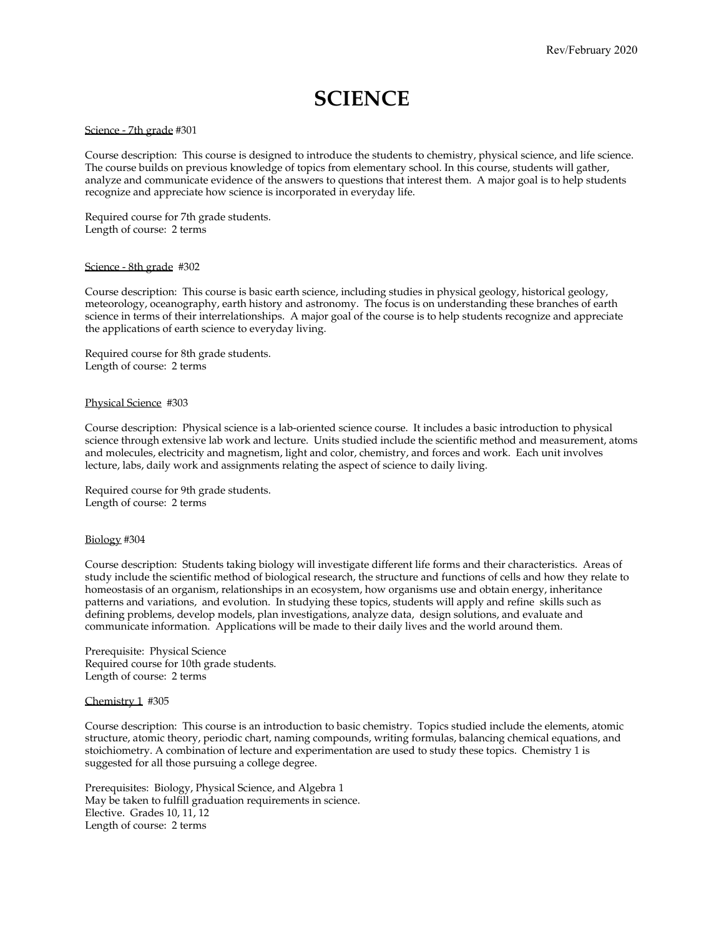### **SCIENCE**

#### Science - 7th grade #301

Course description: This course is designed to introduce the students to chemistry, physical science, and life science. The course builds on previous knowledge of topics from elementary school. In this course, students will gather, analyze and communicate evidence of the answers to questions that interest them. A major goal is to help students recognize and appreciate how science is incorporated in everyday life.

Required course for 7th grade students. Length of course: 2 terms

#### Science - 8th grade #302

Course description: This course is basic earth science, including studies in physical geology, historical geology, meteorology, oceanography, earth history and astronomy. The focus is on understanding these branches of earth science in terms of their interrelationships. A major goal of the course is to help students recognize and appreciate the applications of earth science to everyday living.

Required course for 8th grade students. Length of course: 2 terms

#### Physical Science #303

Course description: Physical science is a lab-oriented science course. It includes a basic introduction to physical science through extensive lab work and lecture. Units studied include the scientific method and measurement, atoms and molecules, electricity and magnetism, light and color, chemistry, and forces and work. Each unit involves lecture, labs, daily work and assignments relating the aspect of science to daily living.

Required course for 9th grade students. Length of course: 2 terms

#### Biology #304

Course description: Students taking biology will investigate different life forms and their characteristics. Areas of study include the scientific method of biological research, the structure and functions of cells and how they relate to homeostasis of an organism, relationships in an ecosystem, how organisms use and obtain energy, inheritance patterns and variations, and evolution. In studying these topics, students will apply and refine skills such as defining problems, develop models, plan investigations, analyze data, design solutions, and evaluate and communicate information. Applications will be made to their daily lives and the world around them.

Prerequisite: Physical Science Required course for 10th grade students. Length of course: 2 terms

#### Chemistry 1 #305

Course description: This course is an introduction to basic chemistry. Topics studied include the elements, atomic structure, atomic theory, periodic chart, naming compounds, writing formulas, balancing chemical equations, and stoichiometry. A combination of lecture and experimentation are used to study these topics. Chemistry 1 is suggested for all those pursuing a college degree.

Prerequisites: Biology, Physical Science, and Algebra 1 May be taken to fulfill graduation requirements in science. Elective. Grades 10, 11, 12 Length of course: 2 terms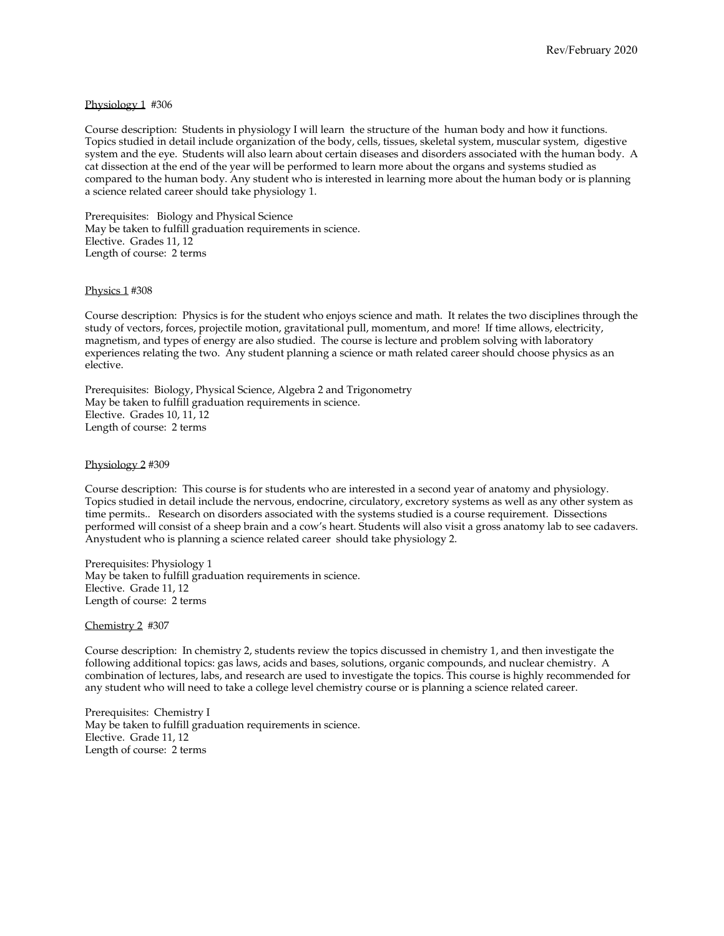#### Physiology 1 #306

Course description: Students in physiology I will learn the structure of the human body and how it functions. Topics studied in detail include organization of the body, cells, tissues, skeletal system, muscular system, digestive system and the eye. Students will also learn about certain diseases and disorders associated with the human body. A cat dissection at the end of the year will be performed to learn more about the organs and systems studied as compared to the human body. Any student who is interested in learning more about the human body or is planning a science related career should take physiology 1.

Prerequisites: Biology and Physical Science May be taken to fulfill graduation requirements in science. Elective. Grades 11, 12 Length of course: 2 terms

#### Physics 1 #308

Course description: Physics is for the student who enjoys science and math. It relates the two disciplines through the study of vectors, forces, projectile motion, gravitational pull, momentum, and more! If time allows, electricity, magnetism, and types of energy are also studied. The course is lecture and problem solving with laboratory experiences relating the two. Any student planning a science or math related career should choose physics as an elective.

Prerequisites: Biology, Physical Science, Algebra 2 and Trigonometry May be taken to fulfill graduation requirements in science. Elective. Grades 10, 11, 12 Length of course: 2 terms

#### Physiology 2 #309

Course description: This course is for students who are interested in a second year of anatomy and physiology. Topics studied in detail include the nervous, endocrine, circulatory, excretory systems as well as any other system as time permits.. Research on disorders associated with the systems studied is a course requirement. Dissections performed will consist of a sheep brain and a cow's heart. Students will also visit a gross anatomy lab to see cadavers. Anystudent who is planning a science related career should take physiology 2.

Prerequisites: Physiology 1 May be taken to fulfill graduation requirements in science. Elective. Grade 11, 12 Length of course: 2 terms

Chemistry 2 #307

Course description: In chemistry 2, students review the topics discussed in chemistry 1, and then investigate the following additional topics: gas laws, acids and bases, solutions, organic compounds, and nuclear chemistry. A combination of lectures, labs, and research are used to investigate the topics. This course is highly recommended for any student who will need to take a college level chemistry course or is planning a science related career.

Prerequisites: Chemistry I May be taken to fulfill graduation requirements in science. Elective. Grade 11, 12 Length of course: 2 terms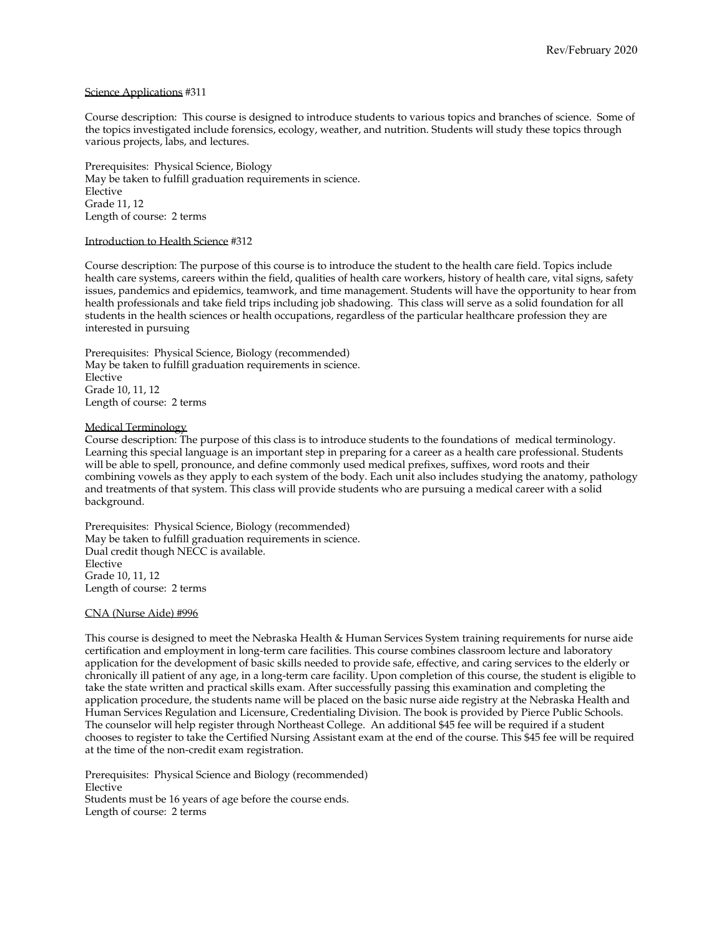#### Science Applications #311

Course description: This course is designed to introduce students to various topics and branches of science. Some of the topics investigated include forensics, ecology, weather, and nutrition. Students will study these topics through various projects, labs, and lectures.

Prerequisites: Physical Science, Biology May be taken to fulfill graduation requirements in science. Elective Grade 11, 12 Length of course: 2 terms

#### Introduction to Health Science #312

Course description: The purpose of this course is to introduce the student to the health care field. Topics include health care systems, careers within the field, qualities of health care workers, history of health care, vital signs, safety issues, pandemics and epidemics, teamwork, and time management. Students will have the opportunity to hear from health professionals and take field trips including job shadowing. This class will serve as a solid foundation for all students in the health sciences or health occupations, regardless of the particular healthcare profession they are interested in pursuing

Prerequisites: Physical Science, Biology (recommended) May be taken to fulfill graduation requirements in science. Elective Grade 10, 11, 12 Length of course: 2 terms

#### Medical Terminology

Course description: The purpose of this class is to introduce students to the foundations of medical terminology. Learning this special language is an important step in preparing for a career as a health care professional. Students will be able to spell, pronounce, and define commonly used medical prefixes, suffixes, word roots and their combining vowels as they apply to each system of the body. Each unit also includes studying the anatomy, pathology and treatments of that system. This class will provide students who are pursuing a medical career with a solid background.

Prerequisites: Physical Science, Biology (recommended) May be taken to fulfill graduation requirements in science. Dual credit though NECC is available. Elective Grade 10, 11, 12 Length of course: 2 terms

#### CNA (Nurse Aide) #996

This course is designed to meet the Nebraska Health & Human Services System training requirements for nurse aide certification and employment in long-term care facilities. This course combines classroom lecture and laboratory application for the development of basic skills needed to provide safe, effective, and caring services to the elderly or chronically ill patient of any age, in a long-term care facility. Upon completion of this course, the student is eligible to take the state written and practical skills exam. After successfully passing this examination and completing the application procedure, the students name will be placed on the basic nurse aide registry at the Nebraska Health and Human Services Regulation and Licensure, Credentialing Division. The book is provided by Pierce Public Schools. The counselor will help register through Northeast College. An additional \$45 fee will be required if a student chooses to register to take the Certified Nursing Assistant exam at the end of the course. This \$45 fee will be required at the time of the non-credit exam registration.

Prerequisites: Physical Science and Biology (recommended) Elective Students must be 16 years of age before the course ends. Length of course: 2 terms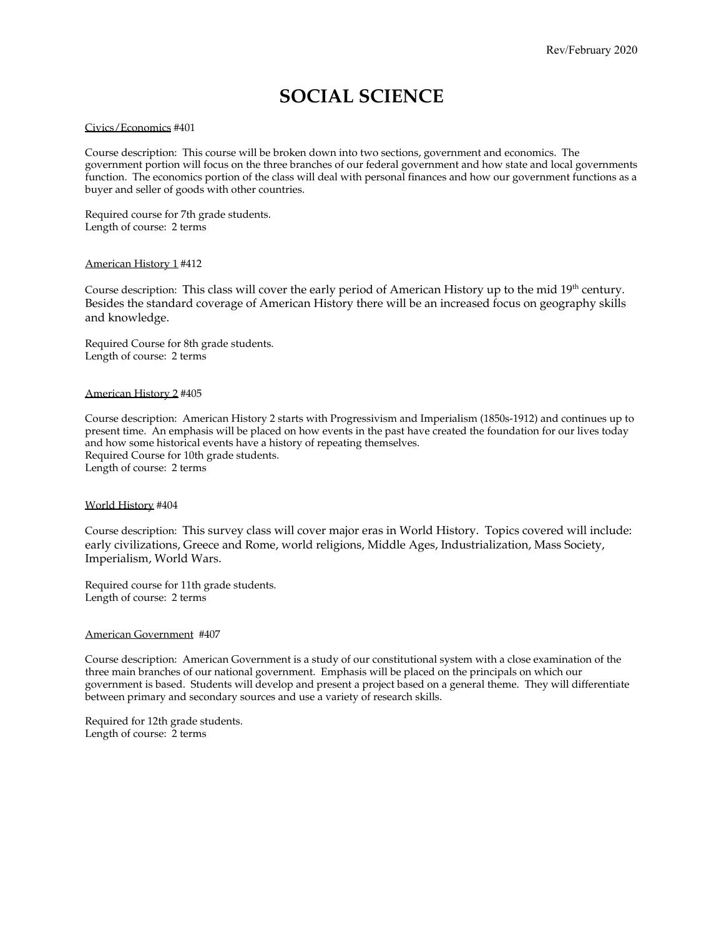### **SOCIAL SCIENCE**

#### Civics/Economics #401

Course description: This course will be broken down into two sections, government and economics. The government portion will focus on the three branches of our federal government and how state and local governments function. The economics portion of the class will deal with personal finances and how our government functions as a buyer and seller of goods with other countries.

Required course for 7th grade students. Length of course: 2 terms

#### American History 1 #412

Course description: This class will cover the early period of American History up to the mid  $19^{\text{th}}$  century. Besides the standard coverage of American History there will be an increased focus on geography skills and knowledge.

Required Course for 8th grade students. Length of course: 2 terms

#### American History 2 #405

Course description: American History 2 starts with Progressivism and Imperialism (1850s-1912) and continues up to present time. An emphasis will be placed on how events in the past have created the foundation for our lives today and how some historical events have a history of repeating themselves. Required Course for 10th grade students. Length of course: 2 terms

#### World History #404

Course description: This survey class will cover major eras in World History. Topics covered will include: early civilizations, Greece and Rome, world religions, Middle Ages, Industrialization, Mass Society, Imperialism, World Wars.

Required course for 11th grade students. Length of course: 2 terms

#### American Government #407

Course description: American Government is a study of our constitutional system with a close examination of the three main branches of our national government. Emphasis will be placed on the principals on which our government is based. Students will develop and present a project based on a general theme. They will differentiate between primary and secondary sources and use a variety of research skills.

Required for 12th grade students. Length of course: 2 terms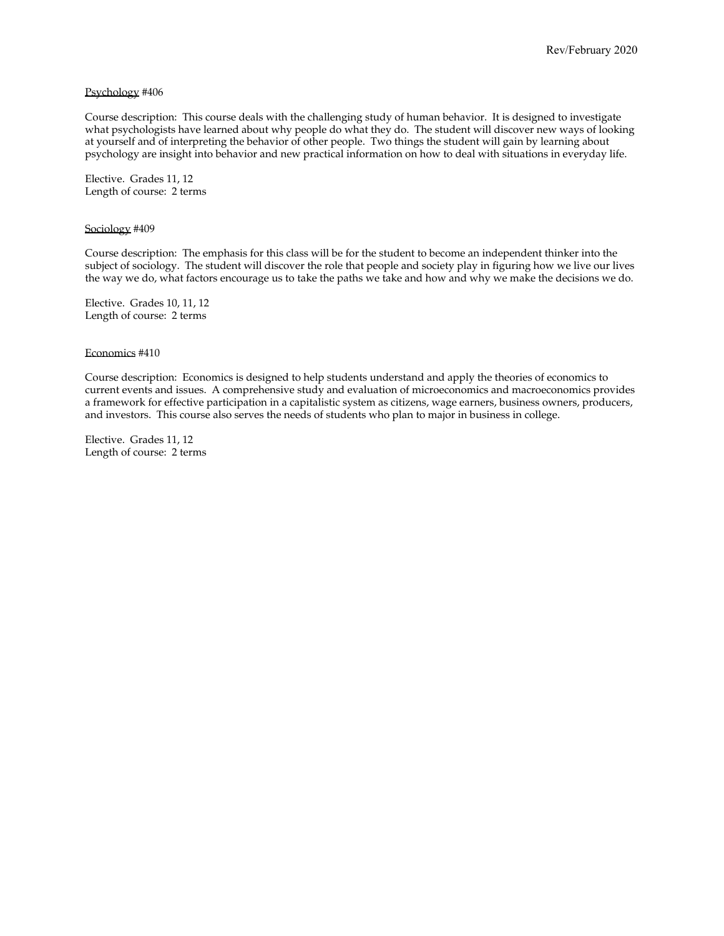#### Psychology #406

Course description: This course deals with the challenging study of human behavior. It is designed to investigate what psychologists have learned about why people do what they do. The student will discover new ways of looking at yourself and of interpreting the behavior of other people. Two things the student will gain by learning about psychology are insight into behavior and new practical information on how to deal with situations in everyday life.

Elective. Grades 11, 12 Length of course: 2 terms

#### Sociology #409

Course description: The emphasis for this class will be for the student to become an independent thinker into the subject of sociology. The student will discover the role that people and society play in figuring how we live our lives the way we do, what factors encourage us to take the paths we take and how and why we make the decisions we do.

Elective. Grades 10, 11, 12 Length of course: 2 terms

#### Economics #410

Course description: Economics is designed to help students understand and apply the theories of economics to current events and issues. A comprehensive study and evaluation of microeconomics and macroeconomics provides a framework for effective participation in a capitalistic system as citizens, wage earners, business owners, producers, and investors. This course also serves the needs of students who plan to major in business in college.

Elective. Grades 11, 12 Length of course: 2 terms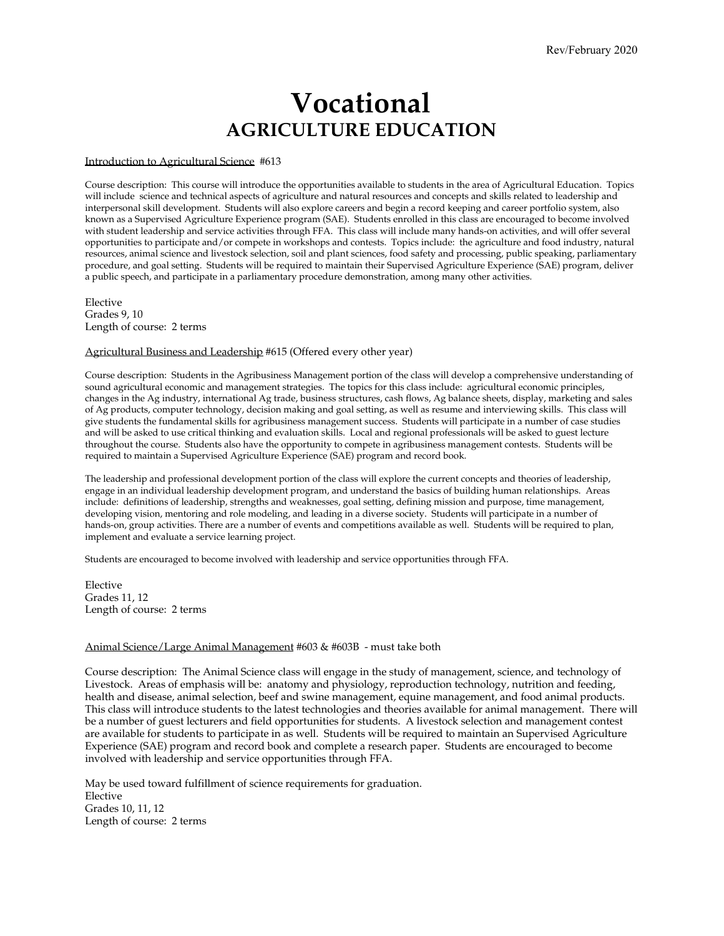## **Vocational AGRICULTURE EDUCATION**

#### Introduction to Agricultural Science #613

Course description: This course will introduce the opportunities available to students in the area of Agricultural Education. Topics will include science and technical aspects of agriculture and natural resources and concepts and skills related to leadership and interpersonal skill development. Students will also explore careers and begin a record keeping and career portfolio system, also known as a Supervised Agriculture Experience program (SAE). Students enrolled in this class are encouraged to become involved with student leadership and service activities through FFA. This class will include many hands-on activities, and will offer several opportunities to participate and/or compete in workshops and contests. Topics include: the agriculture and food industry, natural resources, animal science and livestock selection, soil and plant sciences, food safety and processing, public speaking, parliamentary procedure, and goal setting. Students will be required to maintain their Supervised Agriculture Experience (SAE) program, deliver a public speech, and participate in a parliamentary procedure demonstration, among many other activities.

Elective Grades 9, 10 Length of course: 2 terms

#### Agricultural Business and Leadership #615 (Offered every other year)

Course description: Students in the Agribusiness Management portion of the class will develop a comprehensive understanding of sound agricultural economic and management strategies. The topics for this class include: agricultural economic principles, changes in the Ag industry, international Ag trade, business structures, cash flows, Ag balance sheets, display, marketing and sales of Ag products, computer technology, decision making and goal setting, as well as resume and interviewing skills. This class will give students the fundamental skills for agribusiness management success. Students will participate in a number of case studies and will be asked to use critical thinking and evaluation skills. Local and regional professionals will be asked to guest lecture throughout the course. Students also have the opportunity to compete in agribusiness management contests. Students will be required to maintain a Supervised Agriculture Experience (SAE) program and record book.

The leadership and professional development portion of the class will explore the current concepts and theories of leadership, engage in an individual leadership development program, and understand the basics of building human relationships. Areas include: definitions of leadership, strengths and weaknesses, goal setting, defining mission and purpose, time management, developing vision, mentoring and role modeling, and leading in a diverse society. Students will participate in a number of hands-on, group activities. There are a number of events and competitions available as well. Students will be required to plan, implement and evaluate a service learning project.

Students are encouraged to become involved with leadership and service opportunities through FFA.

Elective Grades 11, 12 Length of course: 2 terms

#### Animal Science/Large Animal Management #603 & #603B - must take both

Course description: The Animal Science class will engage in the study of management, science, and technology of Livestock. Areas of emphasis will be: anatomy and physiology, reproduction technology, nutrition and feeding, health and disease, animal selection, beef and swine management, equine management, and food animal products. This class will introduce students to the latest technologies and theories available for animal management. There will be a number of guest lecturers and field opportunities for students. A livestock selection and management contest are available for students to participate in as well. Students will be required to maintain an Supervised Agriculture Experience (SAE) program and record book and complete a research paper. Students are encouraged to become involved with leadership and service opportunities through FFA.

May be used toward fulfillment of science requirements for graduation. Elective Grades 10, 11, 12 Length of course: 2 terms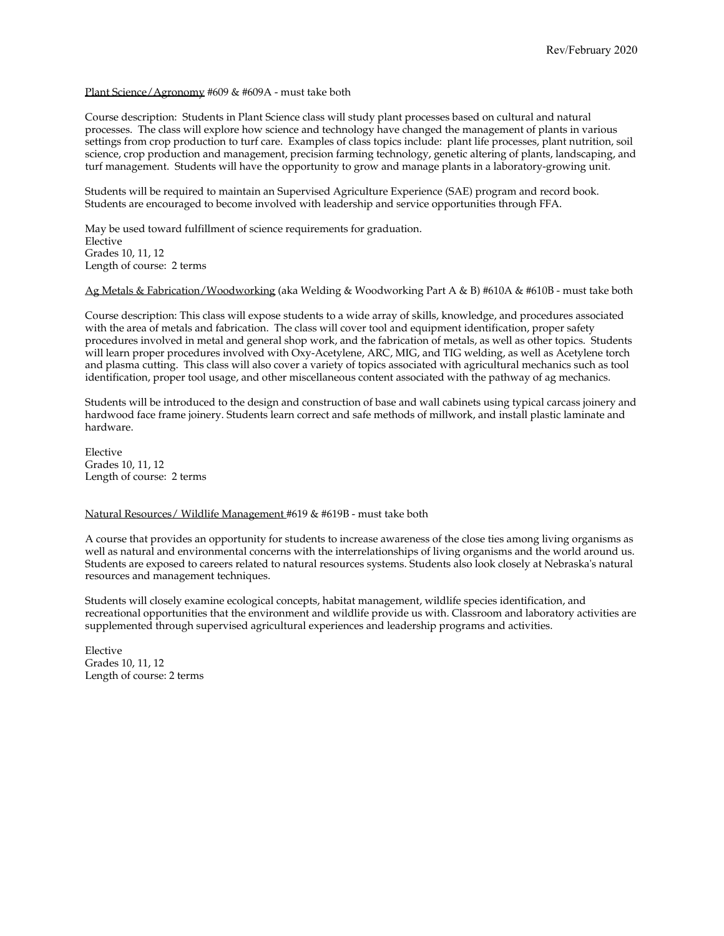#### Plant Science/Agronomy #609 & #609A - must take both

Course description: Students in Plant Science class will study plant processes based on cultural and natural processes. The class will explore how science and technology have changed the management of plants in various settings from crop production to turf care. Examples of class topics include: plant life processes, plant nutrition, soil science, crop production and management, precision farming technology, genetic altering of plants, landscaping, and turf management. Students will have the opportunity to grow and manage plants in a laboratory-growing unit.

Students will be required to maintain an Supervised Agriculture Experience (SAE) program and record book. Students are encouraged to become involved with leadership and service opportunities through FFA.

May be used toward fulfillment of science requirements for graduation. Elective Grades 10, 11, 12 Length of course: 2 terms

Ag Metals & Fabrication/Woodworking (aka Welding & Woodworking Part A & B) #610A & #610B - must take both

Course description: This class will expose students to a wide array of skills, knowledge, and procedures associated with the area of metals and fabrication. The class will cover tool and equipment identification, proper safety procedures involved in metal and general shop work, and the fabrication of metals, as well as other topics. Students will learn proper procedures involved with Oxy-Acetylene, ARC, MIG, and TIG welding, as well as Acetylene torch and plasma cutting. This class will also cover a variety of topics associated with agricultural mechanics such as tool identification, proper tool usage, and other miscellaneous content associated with the pathway of ag mechanics.

Students will be introduced to the design and construction of base and wall cabinets using typical carcass joinery and hardwood face frame joinery. Students learn correct and safe methods of millwork, and install plastic laminate and hardware.

Elective Grades 10, 11, 12 Length of course: 2 terms

Natural Resources/ Wildlife Management #619 & #619B - must take both

A course that provides an opportunity for students to increase awareness of the close ties among living organisms as well as natural and environmental concerns with the interrelationships of living organisms and the world around us. Students are exposed to careers related to natural resources systems. Students also look closely at Nebraska's natural resources and management techniques.

Students will closely examine ecological concepts, habitat management, wildlife species identification, and recreational opportunities that the environment and wildlife provide us with. Classroom and laboratory activities are supplemented through supervised agricultural experiences and leadership programs and activities.

Elective Grades 10, 11, 12 Length of course: 2 terms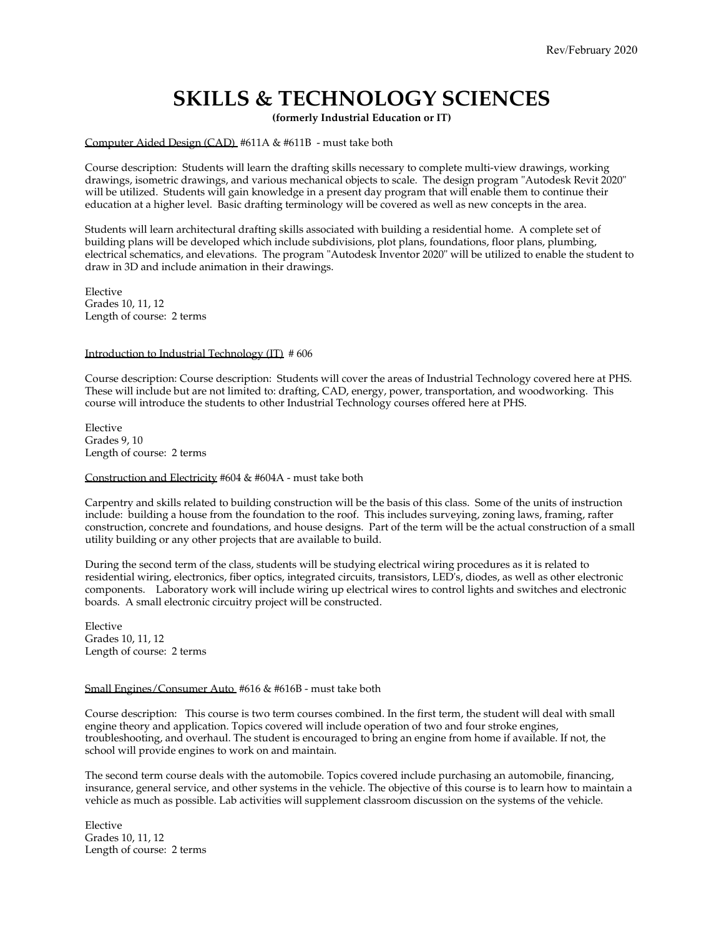### **SKILLS & TECHNOLOGY SCIENCES**

**(formerly Industrial Education or IT)**

Computer Aided Design (CAD) #611A & #611B - must take both

Course description: Students will learn the drafting skills necessary to complete multi-view drawings, working drawings, isometric drawings, and various mechanical objects to scale. The design program "Autodesk Revit 2020" will be utilized. Students will gain knowledge in a present day program that will enable them to continue their education at a higher level. Basic drafting terminology will be covered as well as new concepts in the area.

Students will learn architectural drafting skills associated with building a residential home. A complete set of building plans will be developed which include subdivisions, plot plans, foundations, floor plans, plumbing, electrical schematics, and elevations. The program "Autodesk Inventor 2020" will be utilized to enable the student to draw in 3D and include animation in their drawings.

Elective Grades 10, 11, 12 Length of course: 2 terms

#### Introduction to Industrial Technology (IT) # 606

Course description: Course description: Students will cover the areas of Industrial Technology covered here at PHS. These will include but are not limited to: drafting, CAD, energy, power, transportation, and woodworking. This course will introduce the students to other Industrial Technology courses offered here at PHS.

Elective Grades 9, 10 Length of course: 2 terms

#### Construction and Electricity #604 & #604A - must take both

Carpentry and skills related to building construction will be the basis of this class. Some of the units of instruction include: building a house from the foundation to the roof. This includes surveying, zoning laws, framing, rafter construction, concrete and foundations, and house designs. Part of the term will be the actual construction of a small utility building or any other projects that are available to build.

During the second term of the class, students will be studying electrical wiring procedures as it is related to residential wiring, electronics, fiber optics, integrated circuits, transistors, LED's, diodes, as well as other electronic components. Laboratory work will include wiring up electrical wires to control lights and switches and electronic boards. A small electronic circuitry project will be constructed.

Elective Grades 10, 11, 12 Length of course: 2 terms

#### Small Engines/Consumer Auto #616 & #616B - must take both

Course description: This course is two term courses combined. In the first term, the student will deal with small engine theory and application. Topics covered will include operation of two and four stroke engines, troubleshooting, and overhaul. The student is encouraged to bring an engine from home if available. If not, the school will provide engines to work on and maintain.

The second term course deals with the automobile. Topics covered include purchasing an automobile, financing, insurance, general service, and other systems in the vehicle. The objective of this course is to learn how to maintain a vehicle as much as possible. Lab activities will supplement classroom discussion on the systems of the vehicle.

Elective Grades 10, 11, 12 Length of course: 2 terms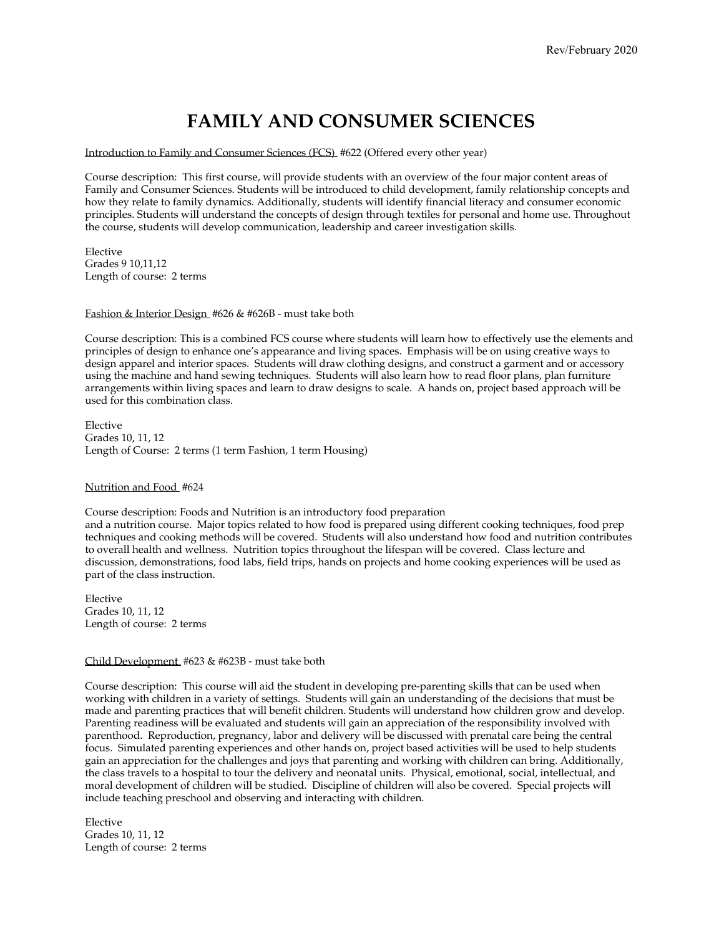### **FAMILY AND CONSUMER SCIENCES**

Introduction to Family and Consumer Sciences (FCS) #622 (Offered every other year)

Course description: This first course, will provide students with an overview of the four major content areas of Family and Consumer Sciences. Students will be introduced to child development, family relationship concepts and how they relate to family dynamics. Additionally, students will identify financial literacy and consumer economic principles. Students will understand the concepts of design through textiles for personal and home use. Throughout the course, students will develop communication, leadership and career investigation skills.

Elective Grades 9 10,11,12 Length of course: 2 terms

#### Fashion & Interior Design #626 & #626B - must take both

Course description: This is a combined FCS course where students will learn how to effectively use the elements and principles of design to enhance one's appearance and living spaces. Emphasis will be on using creative ways to design apparel and interior spaces. Students will draw clothing designs, and construct a garment and or accessory using the machine and hand sewing techniques. Students will also learn how to read floor plans, plan furniture arrangements within living spaces and learn to draw designs to scale. A hands on, project based approach will be used for this combination class.

Elective Grades 10, 11, 12 Length of Course: 2 terms (1 term Fashion, 1 term Housing)

#### Nutrition and Food #624

Course description: Foods and Nutrition is an introductory food preparation and a nutrition course. Major topics related to how food is prepared using different cooking techniques, food prep techniques and cooking methods will be covered. Students will also understand how food and nutrition contributes to overall health and wellness. Nutrition topics throughout the lifespan will be covered. Class lecture and discussion, demonstrations, food labs, field trips, hands on projects and home cooking experiences will be used as part of the class instruction.

Elective Grades 10, 11, 12 Length of course: 2 terms

#### Child Development #623 & #623B - must take both

Course description: This course will aid the student in developing pre-parenting skills that can be used when working with children in a variety of settings. Students will gain an understanding of the decisions that must be made and parenting practices that will benefit children. Students will understand how children grow and develop. Parenting readiness will be evaluated and students will gain an appreciation of the responsibility involved with parenthood. Reproduction, pregnancy, labor and delivery will be discussed with prenatal care being the central focus. Simulated parenting experiences and other hands on, project based activities will be used to help students gain an appreciation for the challenges and joys that parenting and working with children can bring. Additionally, the class travels to a hospital to tour the delivery and neonatal units. Physical, emotional, social, intellectual, and moral development of children will be studied. Discipline of children will also be covered. Special projects will include teaching preschool and observing and interacting with children.

Elective Grades 10, 11, 12 Length of course: 2 terms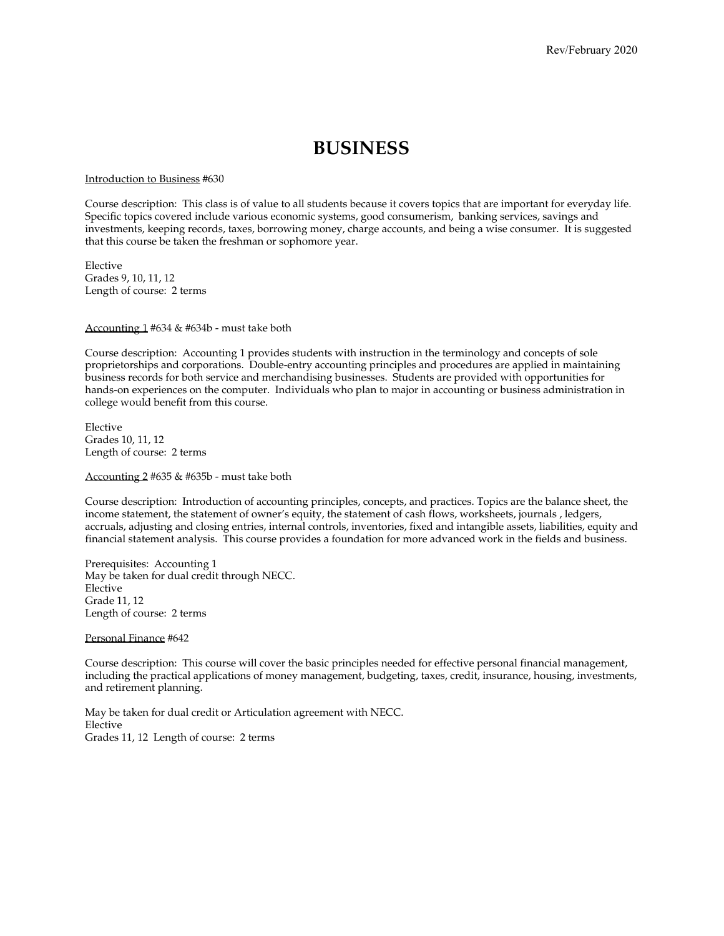### **BUSINESS**

Introduction to Business #630

Course description: This class is of value to all students because it covers topics that are important for everyday life. Specific topics covered include various economic systems, good consumerism, banking services, savings and investments, keeping records, taxes, borrowing money, charge accounts, and being a wise consumer. It is suggested that this course be taken the freshman or sophomore year.

Elective Grades 9, 10, 11, 12 Length of course: 2 terms

Accounting 1 #634 & #634b - must take both

Course description: Accounting 1 provides students with instruction in the terminology and concepts of sole proprietorships and corporations. Double-entry accounting principles and procedures are applied in maintaining business records for both service and merchandising businesses. Students are provided with opportunities for hands-on experiences on the computer. Individuals who plan to major in accounting or business administration in college would benefit from this course.

Elective Grades 10, 11, 12 Length of course: 2 terms

Accounting 2 #635 & #635b - must take both

Course description: Introduction of accounting principles, concepts, and practices. Topics are the balance sheet, the income statement, the statement of owner's equity, the statement of cash flows, worksheets, journals , ledgers, accruals, adjusting and closing entries, internal controls, inventories, fixed and intangible assets, liabilities, equity and financial statement analysis. This course provides a foundation for more advanced work in the fields and business.

Prerequisites: Accounting 1 May be taken for dual credit through NECC. Elective Grade 11, 12 Length of course: 2 terms

Personal Finance #642

Course description: This course will cover the basic principles needed for effective personal financial management, including the practical applications of money management, budgeting, taxes, credit, insurance, housing, investments, and retirement planning.

May be taken for dual credit or Articulation agreement with NECC. Elective Grades 11, 12 Length of course: 2 terms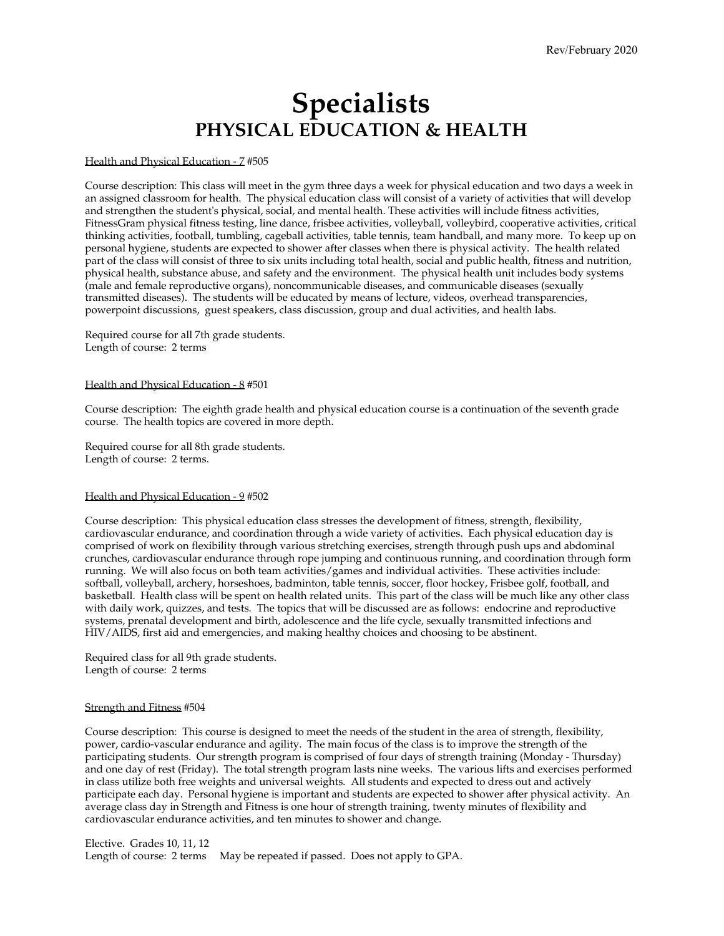## **Specialists PHYSICAL EDUCATION & HEALTH**

#### Health and Physical Education - 7 #505

Course description: This class will meet in the gym three days a week for physical education and two days a week in an assigned classroom for health. The physical education class will consist of a variety of activities that will develop and strengthen the student's physical, social, and mental health. These activities will include fitness activities, FitnessGram physical fitness testing, line dance, frisbee activities, volleyball, volleybird, cooperative activities, critical thinking activities, football, tumbling, cageball activities, table tennis, team handball, and many more. To keep up on personal hygiene, students are expected to shower after classes when there is physical activity. The health related part of the class will consist of three to six units including total health, social and public health, fitness and nutrition, physical health, substance abuse, and safety and the environment. The physical health unit includes body systems (male and female reproductive organs), noncommunicable diseases, and communicable diseases (sexually transmitted diseases). The students will be educated by means of lecture, videos, overhead transparencies, powerpoint discussions, guest speakers, class discussion, group and dual activities, and health labs.

Required course for all 7th grade students. Length of course: 2 terms

#### Health and Physical Education - 8 #501

Course description: The eighth grade health and physical education course is a continuation of the seventh grade course. The health topics are covered in more depth.

Required course for all 8th grade students. Length of course: 2 terms.

#### Health and Physical Education - 9 #502

Course description: This physical education class stresses the development of fitness, strength, flexibility, cardiovascular endurance, and coordination through a wide variety of activities. Each physical education day is comprised of work on flexibility through various stretching exercises, strength through push ups and abdominal crunches, cardiovascular endurance through rope jumping and continuous running, and coordination through form running. We will also focus on both team activities/games and individual activities. These activities include: softball, volleyball, archery, horseshoes, badminton, table tennis, soccer, floor hockey, Frisbee golf, football, and basketball. Health class will be spent on health related units. This part of the class will be much like any other class with daily work, quizzes, and tests. The topics that will be discussed are as follows: endocrine and reproductive systems, prenatal development and birth, adolescence and the life cycle, sexually transmitted infections and HIV/AIDS, first aid and emergencies, and making healthy choices and choosing to be abstinent.

Required class for all 9th grade students. Length of course: 2 terms

#### Strength and Fitness #504

Course description: This course is designed to meet the needs of the student in the area of strength, flexibility, power, cardio-vascular endurance and agility. The main focus of the class is to improve the strength of the participating students. Our strength program is comprised of four days of strength training (Monday - Thursday) and one day of rest (Friday). The total strength program lasts nine weeks. The various lifts and exercises performed in class utilize both free weights and universal weights. All students and expected to dress out and actively participate each day. Personal hygiene is important and students are expected to shower after physical activity. An average class day in Strength and Fitness is one hour of strength training, twenty minutes of flexibility and cardiovascular endurance activities, and ten minutes to shower and change.

Elective. Grades 10, 11, 12 Length of course: 2 terms May be repeated if passed. Does not apply to GPA.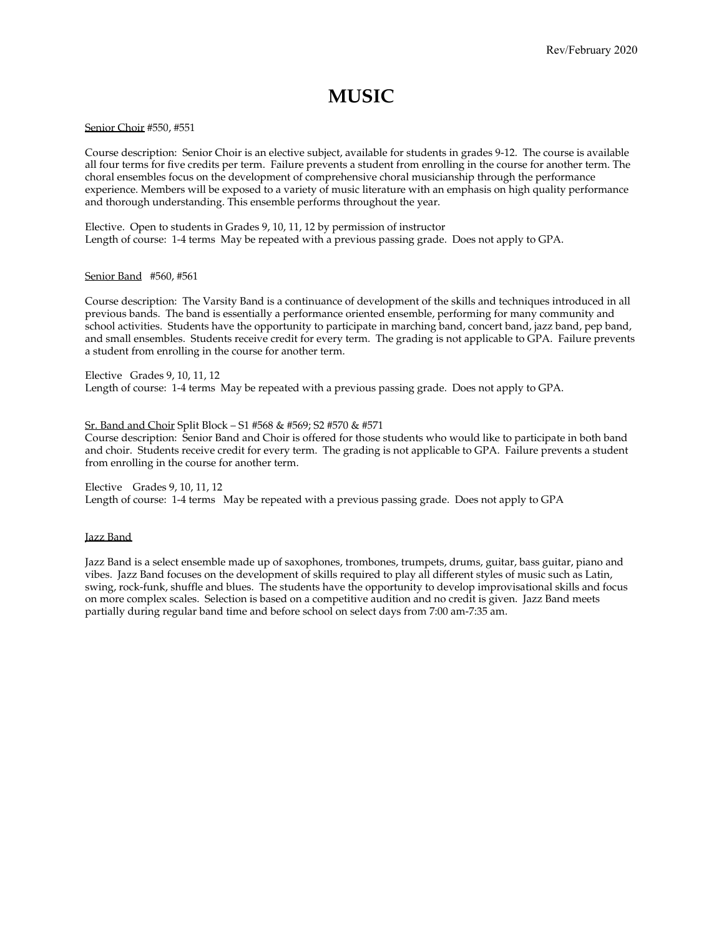### **MUSIC**

#### Senior Choir #550, #551

Course description: Senior Choir is an elective subject, available for students in grades 9-12. The course is available all four terms for five credits per term. Failure prevents a student from enrolling in the course for another term. The choral ensembles focus on the development of comprehensive choral musicianship through the performance experience. Members will be exposed to a variety of music literature with an emphasis on high quality performance and thorough understanding. This ensemble performs throughout the year.

Elective. Open to students in Grades 9, 10, 11, 12 by permission of instructor Length of course: 1-4 terms May be repeated with a previous passing grade. Does not apply to GPA.

#### Senior Band #560, #561

Course description: The Varsity Band is a continuance of development of the skills and techniques introduced in all previous bands. The band is essentially a performance oriented ensemble, performing for many community and school activities. Students have the opportunity to participate in marching band, concert band, jazz band, pep band, and small ensembles. Students receive credit for every term. The grading is not applicable to GPA. Failure prevents a student from enrolling in the course for another term.

#### Elective Grades 9, 10, 11, 12

Length of course: 1-4 terms May be repeated with a previous passing grade. Does not apply to GPA.

#### Sr. Band and Choir Split Block – S1 #568 & #569; S2 #570 & #571

Course description: Senior Band and Choir is offered for those students who would like to participate in both band and choir. Students receive credit for every term. The grading is not applicable to GPA. Failure prevents a student from enrolling in the course for another term.

Elective Grades 9, 10, 11, 12 Length of course: 1-4 terms May be repeated with a previous passing grade. Does not apply to GPA

#### Jazz Band

Jazz Band is a select ensemble made up of saxophones, trombones, trumpets, drums, guitar, bass guitar, piano and vibes. Jazz Band focuses on the development of skills required to play all different styles of music such as Latin, swing, rock-funk, shuffle and blues. The students have the opportunity to develop improvisational skills and focus on more complex scales. Selection is based on a competitive audition and no credit is given. Jazz Band meets partially during regular band time and before school on select days from 7:00 am-7:35 am.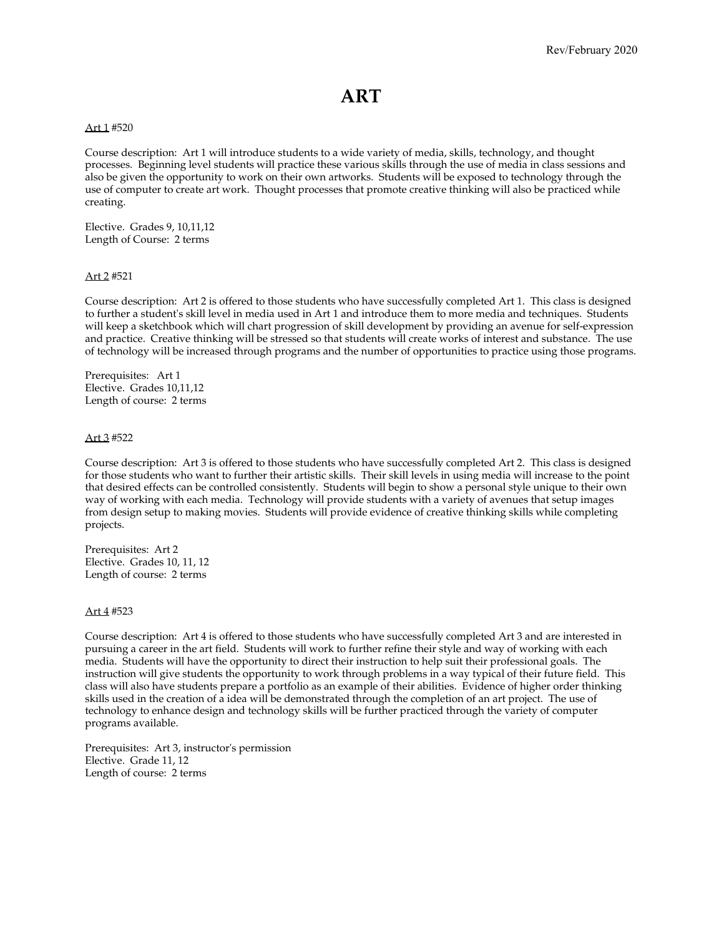### **ART**

#### Art 1 #520

Course description: Art 1 will introduce students to a wide variety of media, skills, technology, and thought processes. Beginning level students will practice these various skills through the use of media in class sessions and also be given the opportunity to work on their own artworks. Students will be exposed to technology through the use of computer to create art work. Thought processes that promote creative thinking will also be practiced while creating.

Elective. Grades 9, 10,11,12 Length of Course: 2 terms

#### Art 2 #521

Course description: Art 2 is offered to those students who have successfully completed Art 1. This class is designed to further a student's skill level in media used in Art 1 and introduce them to more media and techniques. Students will keep a sketchbook which will chart progression of skill development by providing an avenue for self-expression and practice. Creative thinking will be stressed so that students will create works of interest and substance. The use of technology will be increased through programs and the number of opportunities to practice using those programs.

Prerequisites: Art 1 Elective. Grades 10,11,12 Length of course: 2 terms

#### Art 3 #522

Course description: Art 3 is offered to those students who have successfully completed Art 2. This class is designed for those students who want to further their artistic skills. Their skill levels in using media will increase to the point that desired effects can be controlled consistently. Students will begin to show a personal style unique to their own way of working with each media. Technology will provide students with a variety of avenues that setup images from design setup to making movies. Students will provide evidence of creative thinking skills while completing projects.

Prerequisites: Art 2 Elective. Grades 10, 11, 12 Length of course: 2 terms

#### Art 4 #523

Course description: Art 4 is offered to those students who have successfully completed Art 3 and are interested in pursuing a career in the art field. Students will work to further refine their style and way of working with each media. Students will have the opportunity to direct their instruction to help suit their professional goals. The instruction will give students the opportunity to work through problems in a way typical of their future field. This class will also have students prepare a portfolio as an example of their abilities. Evidence of higher order thinking skills used in the creation of a idea will be demonstrated through the completion of an art project. The use of technology to enhance design and technology skills will be further practiced through the variety of computer programs available.

Prerequisites: Art 3, instructor's permission Elective. Grade 11, 12 Length of course: 2 terms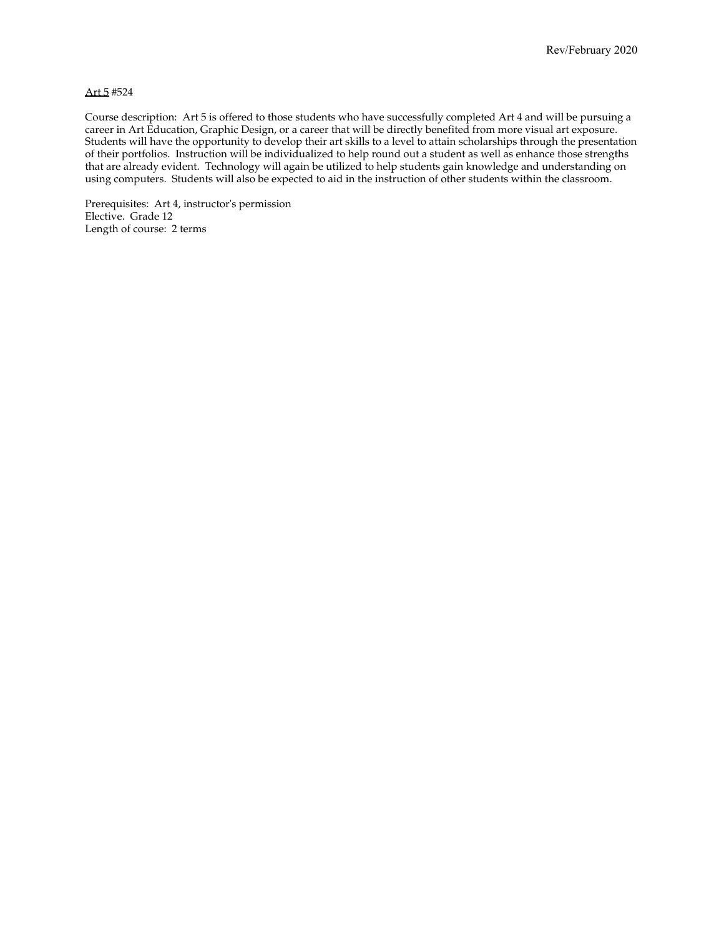#### Art 5 #524

Course description: Art 5 is offered to those students who have successfully completed Art 4 and will be pursuing a career in Art Education, Graphic Design, or a career that will be directly benefited from more visual art exposure. Students will have the opportunity to develop their art skills to a level to attain scholarships through the presentation of their portfolios. Instruction will be individualized to help round out a student as well as enhance those strengths that are already evident. Technology will again be utilized to help students gain knowledge and understanding on using computers. Students will also be expected to aid in the instruction of other students within the classroom.

Prerequisites: Art 4, instructor's permission Elective. Grade 12 Length of course: 2 terms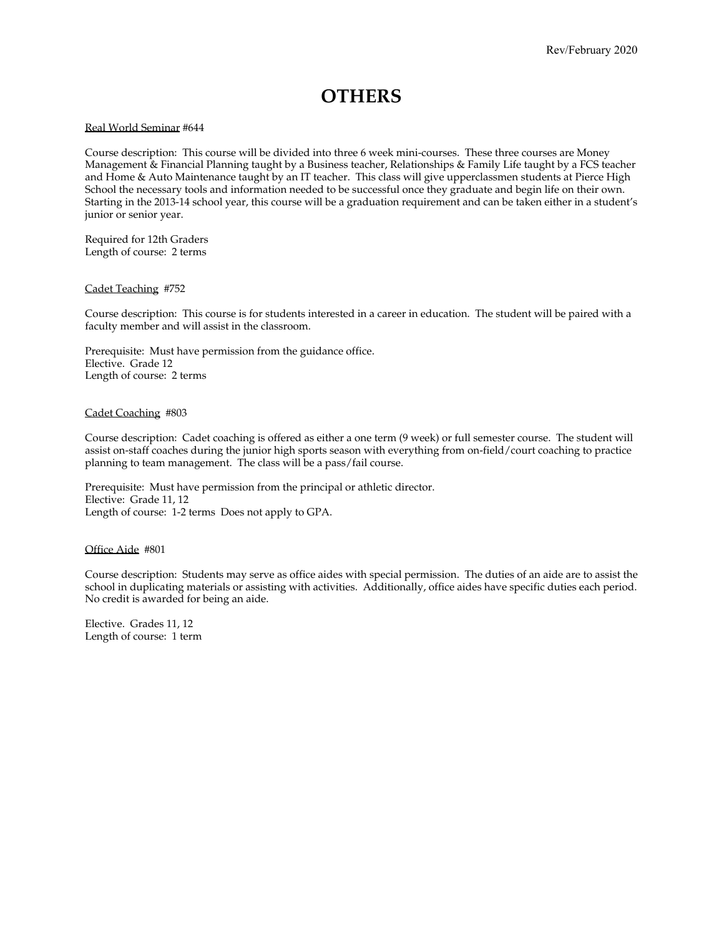### **OTHERS**

#### Real World Seminar #644

Course description: This course will be divided into three 6 week mini-courses. These three courses are Money Management & Financial Planning taught by a Business teacher, Relationships & Family Life taught by a FCS teacher and Home & Auto Maintenance taught by an IT teacher. This class will give upperclassmen students at Pierce High School the necessary tools and information needed to be successful once they graduate and begin life on their own. Starting in the 2013-14 school year, this course will be a graduation requirement and can be taken either in a student's junior or senior year.

Required for 12th Graders Length of course: 2 terms

#### Cadet Teaching #752

Course description: This course is for students interested in a career in education. The student will be paired with a faculty member and will assist in the classroom.

Prerequisite: Must have permission from the guidance office. Elective. Grade 12 Length of course: 2 terms

#### Cadet Coaching #803

Course description: Cadet coaching is offered as either a one term (9 week) or full semester course. The student will assist on-staff coaches during the junior high sports season with everything from on-field/court coaching to practice planning to team management. The class will be a pass/fail course.

Prerequisite: Must have permission from the principal or athletic director. Elective: Grade 11, 12 Length of course: 1-2 terms Does not apply to GPA.

#### Office Aide #801

Course description: Students may serve as office aides with special permission. The duties of an aide are to assist the school in duplicating materials or assisting with activities. Additionally, office aides have specific duties each period. No credit is awarded for being an aide.

Elective. Grades 11, 12 Length of course: 1 term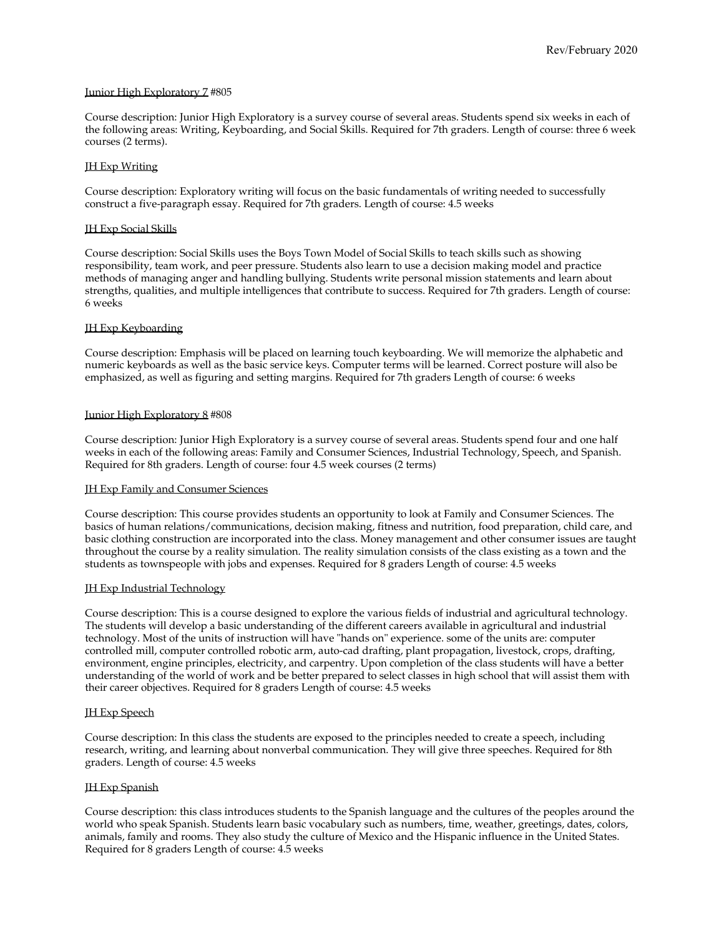#### Junior High Exploratory 7 #805

Course description: Junior High Exploratory is a survey course of several areas. Students spend six weeks in each of the following areas: Writing, Keyboarding, and Social Skills. Required for 7th graders. Length of course: three 6 week courses (2 terms).

#### JH Exp Writing

Course description: Exploratory writing will focus on the basic fundamentals of writing needed to successfully construct a five-paragraph essay. Required for 7th graders. Length of course: 4.5 weeks

#### JH Exp Social Skills

Course description: Social Skills uses the Boys Town Model of Social Skills to teach skills such as showing responsibility, team work, and peer pressure. Students also learn to use a decision making model and practice methods of managing anger and handling bullying. Students write personal mission statements and learn about strengths, qualities, and multiple intelligences that contribute to success. Required for 7th graders. Length of course: 6 weeks

#### JH Exp Keyboarding

Course description: Emphasis will be placed on learning touch keyboarding. We will memorize the alphabetic and numeric keyboards as well as the basic service keys. Computer terms will be learned. Correct posture will also be emphasized, as well as figuring and setting margins. Required for 7th graders Length of course: 6 weeks

#### Junior High Exploratory 8 #808

Course description: Junior High Exploratory is a survey course of several areas. Students spend four and one half weeks in each of the following areas: Family and Consumer Sciences, Industrial Technology, Speech, and Spanish. Required for 8th graders. Length of course: four 4.5 week courses (2 terms)

#### **IH Exp Family and Consumer Sciences**

Course description: This course provides students an opportunity to look at Family and Consumer Sciences. The basics of human relations/communications, decision making, fitness and nutrition, food preparation, child care, and basic clothing construction are incorporated into the class. Money management and other consumer issues are taught throughout the course by a reality simulation. The reality simulation consists of the class existing as a town and the students as townspeople with jobs and expenses. Required for 8 graders Length of course: 4.5 weeks

#### JH Exp Industrial Technology

Course description: This is a course designed to explore the various fields of industrial and agricultural technology. The students will develop a basic understanding of the different careers available in agricultural and industrial technology. Most of the units of instruction will have "hands on" experience. some of the units are: computer controlled mill, computer controlled robotic arm, auto-cad drafting, plant propagation, livestock, crops, drafting, environment, engine principles, electricity, and carpentry. Upon completion of the class students will have a better understanding of the world of work and be better prepared to select classes in high school that will assist them with their career objectives. Required for 8 graders Length of course: 4.5 weeks

#### JH Exp Speech

Course description: In this class the students are exposed to the principles needed to create a speech, including research, writing, and learning about nonverbal communication. They will give three speeches. Required for 8th graders. Length of course: 4.5 weeks

#### JH Exp Spanish

Course description: this class introduces students to the Spanish language and the cultures of the peoples around the world who speak Spanish. Students learn basic vocabulary such as numbers, time, weather, greetings, dates, colors, animals, family and rooms. They also study the culture of Mexico and the Hispanic influence in the United States. Required for 8 graders Length of course: 4.5 weeks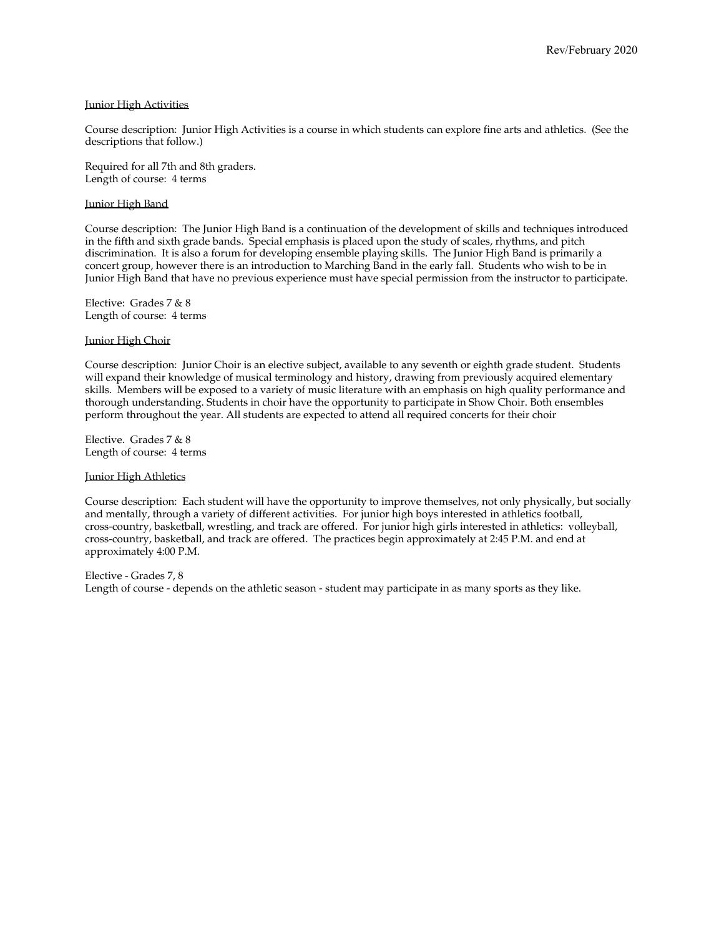#### Junior High Activities

Course description: Junior High Activities is a course in which students can explore fine arts and athletics. (See the descriptions that follow.)

Required for all 7th and 8th graders. Length of course: 4 terms

#### Junior High Band

Course description: The Junior High Band is a continuation of the development of skills and techniques introduced in the fifth and sixth grade bands. Special emphasis is placed upon the study of scales, rhythms, and pitch discrimination. It is also a forum for developing ensemble playing skills. The Junior High Band is primarily a concert group, however there is an introduction to Marching Band in the early fall. Students who wish to be in Junior High Band that have no previous experience must have special permission from the instructor to participate.

Elective: Grades 7 & 8 Length of course: 4 terms

#### Junior High Choir

Course description: Junior Choir is an elective subject, available to any seventh or eighth grade student. Students will expand their knowledge of musical terminology and history, drawing from previously acquired elementary skills. Members will be exposed to a variety of music literature with an emphasis on high quality performance and thorough understanding. Students in choir have the opportunity to participate in Show Choir. Both ensembles perform throughout the year. All students are expected to attend all required concerts for their choir

Elective. Grades 7 & 8 Length of course: 4 terms

#### Junior High Athletics

Course description: Each student will have the opportunity to improve themselves, not only physically, but socially and mentally, through a variety of different activities. For junior high boys interested in athletics football, cross-country, basketball, wrestling, and track are offered. For junior high girls interested in athletics: volleyball, cross-country, basketball, and track are offered. The practices begin approximately at 2:45 P.M. and end at approximately 4:00 P.M.

Elective - Grades 7, 8 Length of course - depends on the athletic season - student may participate in as many sports as they like.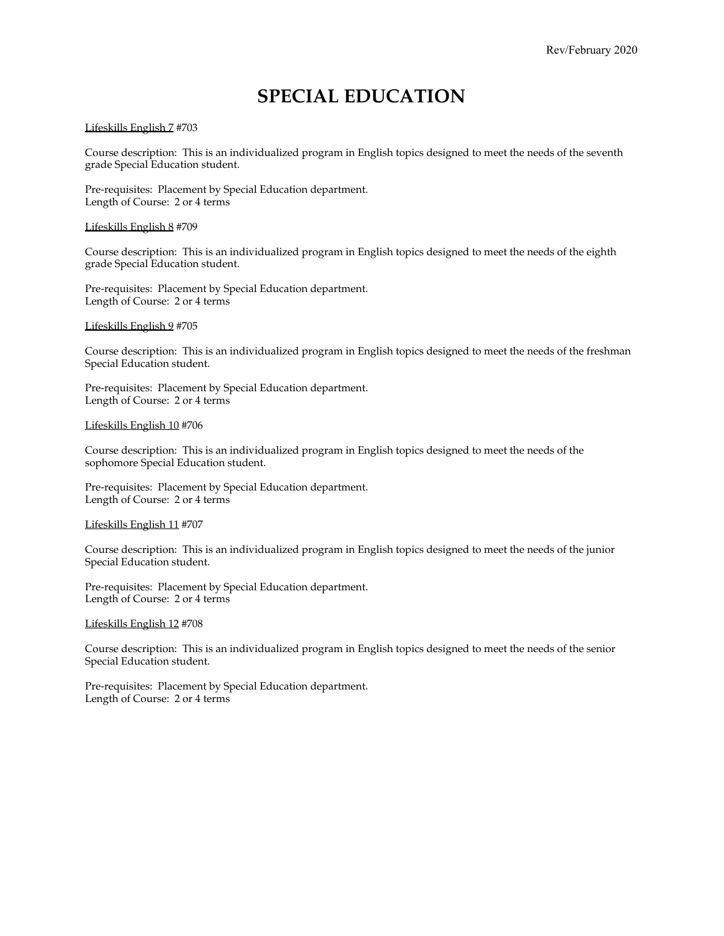### **SPECIAL EDUCATION**

#### Lifeskills English 7 #703

Course description: This is an individualized program in English topics designed to meet the needs of the seventh grade Special Education student.

Pre-requisites: Placement by Special Education department. Length of Course: 2 or 4 terms

#### Lifeskills English 8 #709

Course description: This is an individualized program in English topics designed to meet the needs of the eighth grade Special Education student.

Pre-requisites: Placement by Special Education department. Length of Course: 2 or 4 terms

Lifeskills English 9 #705

Course description: This is an individualized program in English topics designed to meet the needs of the freshman Special Education student.

Pre-requisites: Placement by Special Education department. Length of Course: 2 or 4 terms

#### Lifeskills English 10 #706

Course description: This is an individualized program in English topics designed to meet the needs of the sophomore Special Education student.

Pre-requisites: Placement by Special Education department. Length of Course: 2 or 4 terms

#### Lifeskills English 11 #707

Course description: This is an individualized program in English topics designed to meet the needs of the junior Special Education student.

Pre-requisites: Placement by Special Education department. Length of Course: 2 or 4 terms

#### Lifeskills English 12 #708

Course description: This is an individualized program in English topics designed to meet the needs of the senior Special Education student.

Pre-requisites: Placement by Special Education department. Length of Course: 2 or 4 terms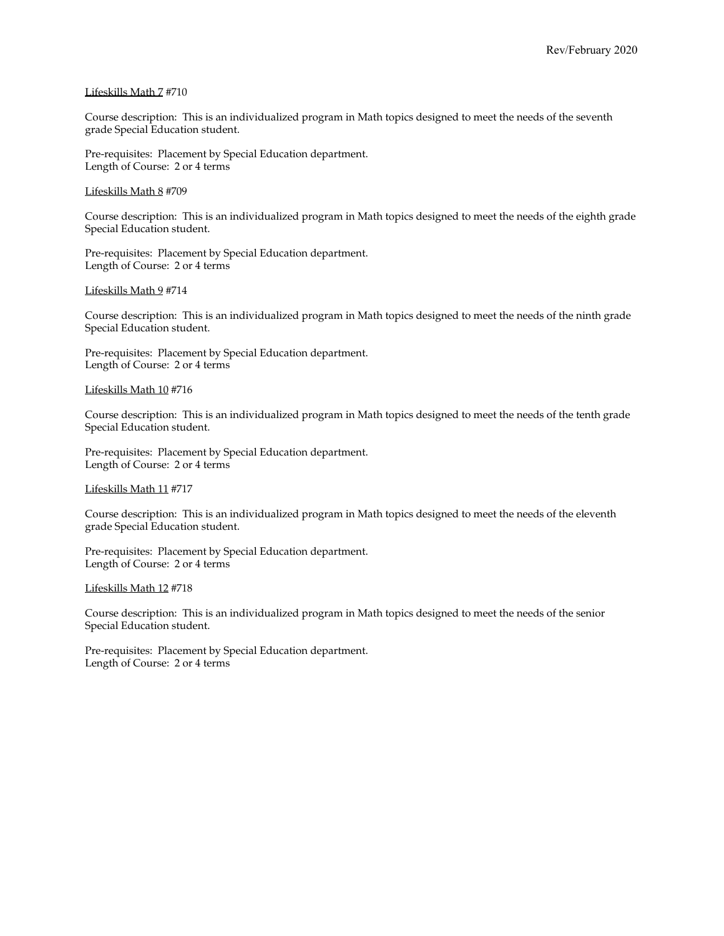#### Lifeskills Math 7 #710

Course description: This is an individualized program in Math topics designed to meet the needs of the seventh grade Special Education student.

Pre-requisites: Placement by Special Education department. Length of Course: 2 or 4 terms

#### Lifeskills Math 8 #709

Course description: This is an individualized program in Math topics designed to meet the needs of the eighth grade Special Education student.

Pre-requisites: Placement by Special Education department. Length of Course: 2 or 4 terms

#### Lifeskills Math 9 #714

Course description: This is an individualized program in Math topics designed to meet the needs of the ninth grade Special Education student.

Pre-requisites: Placement by Special Education department. Length of Course: 2 or 4 terms

#### Lifeskills Math 10 #716

Course description: This is an individualized program in Math topics designed to meet the needs of the tenth grade Special Education student.

Pre-requisites: Placement by Special Education department. Length of Course: 2 or 4 terms

#### Lifeskills Math 11 #717

Course description: This is an individualized program in Math topics designed to meet the needs of the eleventh grade Special Education student.

Pre-requisites: Placement by Special Education department. Length of Course: 2 or 4 terms

#### Lifeskills Math 12 #718

Course description: This is an individualized program in Math topics designed to meet the needs of the senior Special Education student.

Pre-requisites: Placement by Special Education department. Length of Course: 2 or 4 terms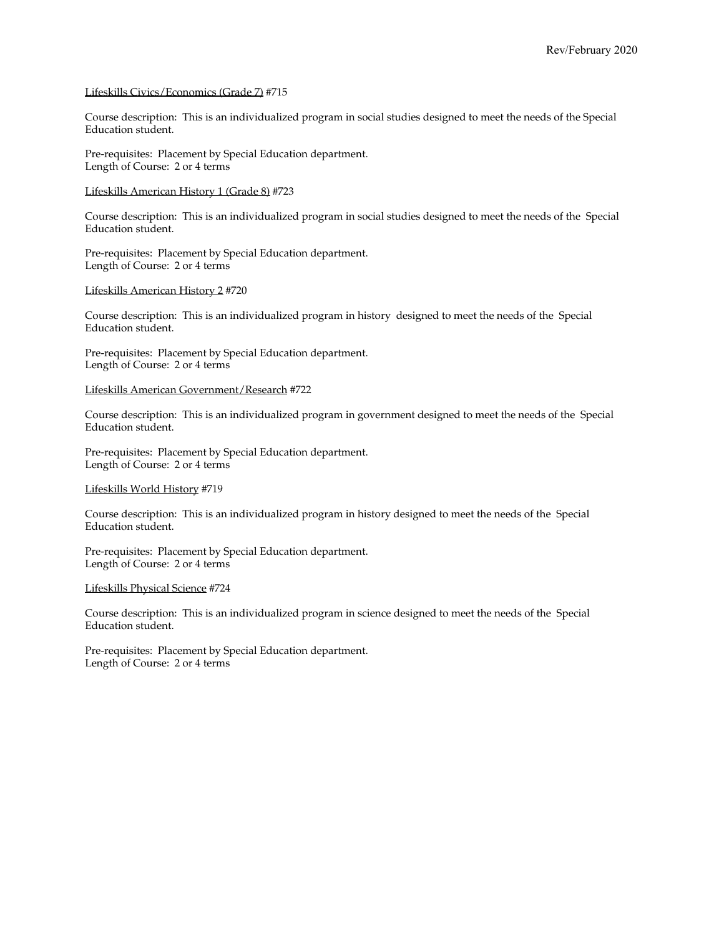#### Lifeskills Civics/Economics (Grade 7) #715

Course description: This is an individualized program in social studies designed to meet the needs of the Special Education student.

Pre-requisites: Placement by Special Education department. Length of Course: 2 or 4 terms

#### Lifeskills American History 1 (Grade 8) #723

Course description: This is an individualized program in social studies designed to meet the needs of the Special Education student.

Pre-requisites: Placement by Special Education department. Length of Course: 2 or 4 terms

#### Lifeskills American History 2 #720

Course description: This is an individualized program in history designed to meet the needs of the Special Education student.

Pre-requisites: Placement by Special Education department. Length of Course: 2 or 4 terms

#### Lifeskills American Government/Research #722

Course description: This is an individualized program in government designed to meet the needs of the Special Education student.

Pre-requisites: Placement by Special Education department. Length of Course: 2 or 4 terms

Lifeskills World History #719

Course description: This is an individualized program in history designed to meet the needs of the Special Education student.

Pre-requisites: Placement by Special Education department. Length of Course: 2 or 4 terms

#### Lifeskills Physical Science #724

Course description: This is an individualized program in science designed to meet the needs of the Special Education student.

Pre-requisites: Placement by Special Education department. Length of Course: 2 or 4 terms